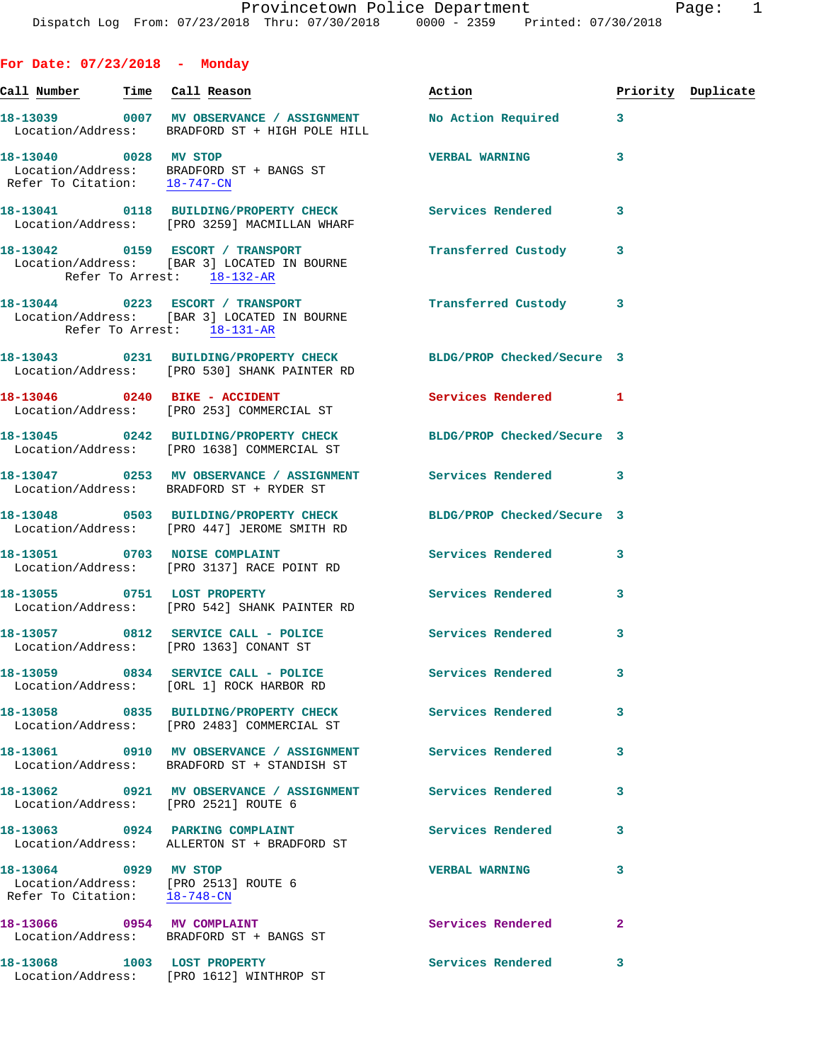|  |  | For Date: 07/23/2018 |  | Monday |
|--|--|----------------------|--|--------|
|--|--|----------------------|--|--------|

| Call <u>Number</u>                                    | Time Call Reason                                                                                              | Action                     |              | Priority Duplicate |
|-------------------------------------------------------|---------------------------------------------------------------------------------------------------------------|----------------------------|--------------|--------------------|
|                                                       | 18-13039 0007 MV OBSERVANCE / ASSIGNMENT<br>Location/Address: BRADFORD ST + HIGH POLE HILL                    | No Action Required         | 3            |                    |
| 18-13040 0028 MV STOP                                 | Location/Address: BRADFORD ST + BANGS ST<br>Refer To Citation: 18-747-CN                                      | <b>VERBAL WARNING</b>      | 3            |                    |
|                                                       | 18-13041 0118 BUILDING/PROPERTY CHECK<br>Location/Address: [PRO 3259] MACMILLAN WHARF                         | Services Rendered          | 3            |                    |
|                                                       | 18-13042 0159 ESCORT / TRANSPORT<br>Location/Address: [BAR 3] LOCATED IN BOURNE<br>Refer To Arrest: 18-132-AR | Transferred Custody        | 3            |                    |
|                                                       | 18-13044 0223 ESCORT / TRANSPORT<br>Location/Address: [BAR 3] LOCATED IN BOURNE<br>Refer To Arrest: 18-131-AR | Transferred Custody        | 3            |                    |
|                                                       | 18-13043 0231 BUILDING/PROPERTY CHECK<br>Location/Address: [PRO 530] SHANK PAINTER RD                         | BLDG/PROP Checked/Secure 3 |              |                    |
|                                                       | 18-13046 0240 BIKE - ACCIDENT<br>Location/Address: [PRO 253] COMMERCIAL ST                                    | Services Rendered 1        |              |                    |
|                                                       | 18-13045 0242 BUILDING/PROPERTY CHECK<br>Location/Address: [PRO 1638] COMMERCIAL ST                           | BLDG/PROP Checked/Secure 3 |              |                    |
|                                                       | 18-13047 0253 MV OBSERVANCE / ASSIGNMENT Services Rendered<br>Location/Address: BRADFORD ST + RYDER ST        |                            | 3            |                    |
|                                                       | 18-13048 0503 BUILDING/PROPERTY CHECK<br>Location/Address: [PRO 447] JEROME SMITH RD                          | BLDG/PROP Checked/Secure 3 |              |                    |
|                                                       | 18-13051 0703 NOISE COMPLAINT<br>Location/Address: [PRO 3137] RACE POINT RD                                   | Services Rendered          | 3            |                    |
|                                                       | 18-13055 0751 LOST PROPERTY<br>Location/Address: [PRO 542] SHANK PAINTER RD                                   | Services Rendered          | 3            |                    |
|                                                       | 18-13057 0812 SERVICE CALL - POLICE<br>Location/Address: [PRO 1363] CONANT ST                                 | Services Rendered          | 3            |                    |
| Location/Address:                                     | 18-13059 0834 SERVICE CALL - POLICE Services Rendered<br>[ORL 1] ROCK HARBOR RD                               |                            | 3            |                    |
|                                                       | 18-13058 0835 BUILDING/PROPERTY CHECK<br>Location/Address: [PRO 2483] COMMERCIAL ST                           | <b>Services Rendered</b>   | 3            |                    |
|                                                       | 18-13061 0910 MV OBSERVANCE / ASSIGNMENT<br>Location/Address: BRADFORD ST + STANDISH ST                       | <b>Services Rendered</b>   | 3            |                    |
|                                                       | 18-13062 0921 MV OBSERVANCE / ASSIGNMENT Services Rendered<br>Location/Address: [PRO 2521] ROUTE 6            |                            | 3            |                    |
|                                                       | 18-13063 0924 PARKING COMPLAINT<br>Location/Address: ALLERTON ST + BRADFORD ST                                | <b>Services Rendered</b>   | 3            |                    |
| 18-13064 0929 MV STOP<br>Refer To Citation: 18-748-CN | Location/Address: [PRO 2513] ROUTE 6                                                                          | <b>VERBAL WARNING</b>      | 3            |                    |
|                                                       | 18-13066 0954 MV COMPLAINT<br>Location/Address: BRADFORD ST + BANGS ST                                        | Services Rendered          | $\mathbf{2}$ |                    |
|                                                       | 18-13068 1003 LOST PROPERTY<br>Location/Address: [PRO 1612] WINTHROP ST                                       | <b>Services Rendered</b>   | 3            |                    |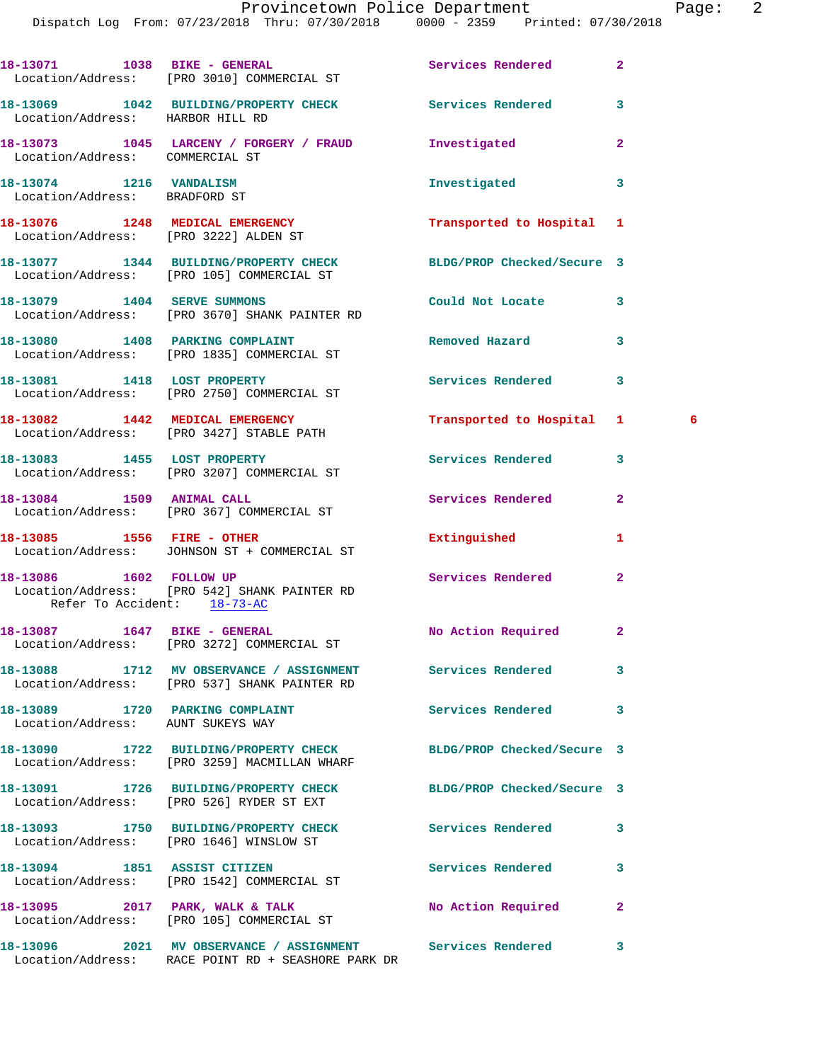|                                                          | 18-13071 1038 BIKE - GENERAL<br>Location/Address: [PRO 3010] COMMERCIAL ST                                       | Services Rendered          | $\overline{a}$ |  |
|----------------------------------------------------------|------------------------------------------------------------------------------------------------------------------|----------------------------|----------------|--|
| Location/Address: HARBOR HILL RD                         | 18-13069 1042 BUILDING/PROPERTY CHECK Services Rendered                                                          |                            | 3              |  |
| Location/Address: COMMERCIAL ST                          | 18-13073 1045 LARCENY / FORGERY / FRAUD                                                                          | Investigated               | 2              |  |
| 18-13074 1216 VANDALISM<br>Location/Address: BRADFORD ST |                                                                                                                  | Investigated               | 3              |  |
|                                                          | 18-13076 1248 MEDICAL EMERGENCY<br>Location/Address: [PRO 3222] ALDEN ST                                         | Transported to Hospital 1  |                |  |
|                                                          | 18-13077 1344 BUILDING/PROPERTY CHECK<br>Location/Address: [PRO 105] COMMERCIAL ST                               | BLDG/PROP Checked/Secure 3 |                |  |
| 18-13079 1404 SERVE SUMMONS                              | Location/Address: [PRO 3670] SHANK PAINTER RD                                                                    | Could Not Locate           | 3              |  |
|                                                          | 18-13080 1408 PARKING COMPLAINT<br>Location/Address: [PRO 1835] COMMERCIAL ST                                    | Removed Hazard             | 3              |  |
|                                                          | 18-13081 1418 LOST PROPERTY<br>Location/Address: [PRO 2750] COMMERCIAL ST                                        | Services Rendered          | 3              |  |
|                                                          | 18-13082 1442 MEDICAL EMERGENCY<br>Location/Address: [PRO 3427] STABLE PATH                                      | Transported to Hospital 1  | - 6            |  |
|                                                          | 18-13083 1455 LOST PROPERTY<br>Location/Address: [PRO 3207] COMMERCIAL ST                                        | Services Rendered          | 3              |  |
|                                                          | 18-13084 1509 ANIMAL CALL<br>Location/Address: [PRO 367] COMMERCIAL ST                                           | Services Rendered          | $\overline{a}$ |  |
|                                                          | 18-13085    1556    FIRE - OTHER<br>Location/Address: JOHNSON ST + COMMERCIAL ST                                 | Extinguished               | 1              |  |
| 18-13086 1602 FOLLOW UP<br>Refer To Accident: 18-73-AC   | Location/Address: [PRO 542] SHANK PAINTER RD                                                                     | Services Rendered          | $\mathbf{2}$   |  |
| 18-13087 1647 BIKE - GENERAL                             | Location/Address: [PRO 3272] COMMERCIAL ST                                                                       | No Action Required         | $\mathbf{2}$   |  |
|                                                          | 18-13088 1712 MV OBSERVANCE / ASSIGNMENT<br>Location/Address: [PRO 537] SHANK PAINTER RD                         | Services Rendered          | 3              |  |
| Location/Address: AUNT SUKEYS WAY                        | 18-13089 1720 PARKING COMPLAINT                                                                                  | Services Rendered          | 3              |  |
|                                                          | 18-13090 1722 BUILDING/PROPERTY CHECK<br>Location/Address: [PRO 3259] MACMILLAN WHARF                            | BLDG/PROP Checked/Secure 3 |                |  |
|                                                          | 18-13091 1726 BUILDING/PROPERTY CHECK<br>Location/Address: [PRO 526] RYDER ST EXT                                | BLDG/PROP Checked/Secure 3 |                |  |
|                                                          | 18-13093 1750 BUILDING/PROPERTY CHECK<br>Location/Address: [PRO 1646] WINSLOW ST                                 | Services Rendered          | 3              |  |
|                                                          | 18-13094 1851 ASSIST CITIZEN<br>Location/Address: [PRO 1542] COMMERCIAL ST                                       | Services Rendered          | 3              |  |
|                                                          | 18-13095 2017 PARK, WALK & TALK<br>Location/Address: [PRO 105] COMMERCIAL ST                                     | No Action Required         | $\mathbf{2}$   |  |
|                                                          | 18-13096 2021 MV OBSERVANCE / ASSIGNMENT Services Rendered<br>Location/Address: RACE POINT RD + SEASHORE PARK DR |                            | 3              |  |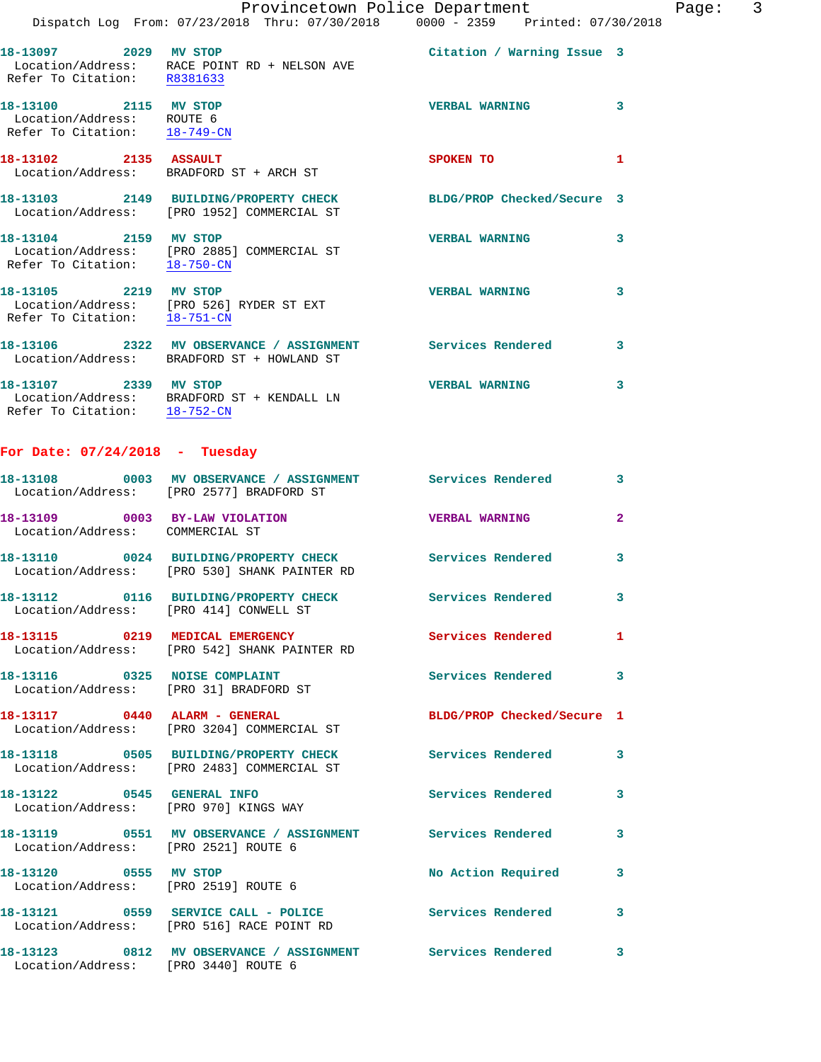|                                                                                    | Provincetown Police Department                                                                                        |                            | $\overline{3}$<br>Page: |
|------------------------------------------------------------------------------------|-----------------------------------------------------------------------------------------------------------------------|----------------------------|-------------------------|
|                                                                                    | Dispatch Log From: 07/23/2018 Thru: 07/30/2018 0000 - 2359 Printed: 07/30/2018                                        |                            |                         |
| 18-13097 2029 MV STOP<br>Refer To Citation: R8381633                               | Location/Address: RACE POINT RD + NELSON AVE                                                                          | Citation / Warning Issue 3 |                         |
| 18-13100 2115 MV STOP<br>Location/Address: ROUTE 6<br>Refer To Citation: 18-749-CN |                                                                                                                       | <b>VERBAL WARNING</b>      | 3                       |
|                                                                                    | 18-13102 2135 ASSAULT<br>Location/Address: BRADFORD ST + ARCH ST                                                      | SPOKEN TO                  | $\mathbf{1}$            |
|                                                                                    | 18-13103 2149 BUILDING/PROPERTY CHECK BLDG/PROP Checked/Secure 3<br>Location/Address: [PRO 1952] COMMERCIAL ST        |                            |                         |
| Refer To Citation: $\frac{18-750-CN}{2}$                                           | 18-13104 2159 MV STOP<br>Location/Address: [PRO 2885] COMMERCIAL ST                                                   | <b>VERBAL WARNING</b>      | 3                       |
|                                                                                    | 18-13105 2219 MV STOP<br>Location/Address: [PRO 526] RYDER ST EXT<br>Refer To Citation: $\frac{18-751-CN}{18-751-CN}$ | <b>VERBAL WARNING</b>      | 3                       |
|                                                                                    | 18-13106 2322 MV OBSERVANCE / ASSIGNMENT Services Rendered 3<br>Location/Address: BRADFORD ST + HOWLAND ST            |                            |                         |
| 18-13107 2339 MV STOP                                                              | Location/Address: BRADFORD ST + KENDALL LN<br>Refer To Citation: $18-752$ -CN                                         | <b>VERBAL WARNING</b>      | 3                       |
| For Date: $07/24/2018$ - Tuesday                                                   |                                                                                                                       |                            |                         |
|                                                                                    | 18-13108 0003 MV OBSERVANCE / ASSIGNMENT Services Rendered<br>Location/Address: [PRO 2577] BRADFORD ST                |                            | $\mathbf{3}$            |
| Location/Address: COMMERCIAL ST                                                    | 18-13109 0003 BY-LAW VIOLATION                                                                                        | <b>VERBAL WARNING</b>      | $\mathbf{2}$            |
|                                                                                    | 18-13110 0024 BUILDING/PROPERTY CHECK Services Rendered<br>Location/Address: [PRO 530] SHANK PAINTER RD               |                            | 3                       |
| Location/Address: [PRO 414] CONWELL ST                                             | 18-13112 0116 BUILDING/PROPERTY CHECK                                                                                 | Services Rendered          | 3                       |
|                                                                                    | 18-13115 0219 MEDICAL EMERGENCY<br>Location/Address: [PRO 542] SHANK PAINTER RD                                       | <b>Services Rendered</b>   | 1                       |
| 18-13116 0325 NOISE COMPLAINT<br>Location/Address: [PRO 31] BRADFORD ST            |                                                                                                                       | <b>Services Rendered</b>   | 3                       |
| 18-13117 0440 ALARM - GENERAL                                                      | Location/Address: [PRO 3204] COMMERCIAL ST                                                                            | BLDG/PROP Checked/Secure 1 |                         |
|                                                                                    | 18-13118 0505 BUILDING/PROPERTY CHECK<br>Location/Address: [PRO 2483] COMMERCIAL ST                                   | Services Rendered          | 3                       |
| 18-13122 0545 GENERAL INFO<br>Location/Address: [PRO 970] KINGS WAY                |                                                                                                                       | <b>Services Rendered</b>   | 3                       |
|                                                                                    |                                                                                                                       |                            |                         |

 Location/Address: [PRO 2521] ROUTE 6 **18-13120 0555 MV STOP No Action Required 3**  Location/Address: [PRO 2519] ROUTE 6

**18-13121 0559 SERVICE CALL - POLICE Services Rendered 3**  Location/Address: [PRO 516] RACE POINT RD

Location/Address: [PRO 3440] ROUTE 6

**18-13123 0812 MV OBSERVANCE / ASSIGNMENT Services Rendered 3**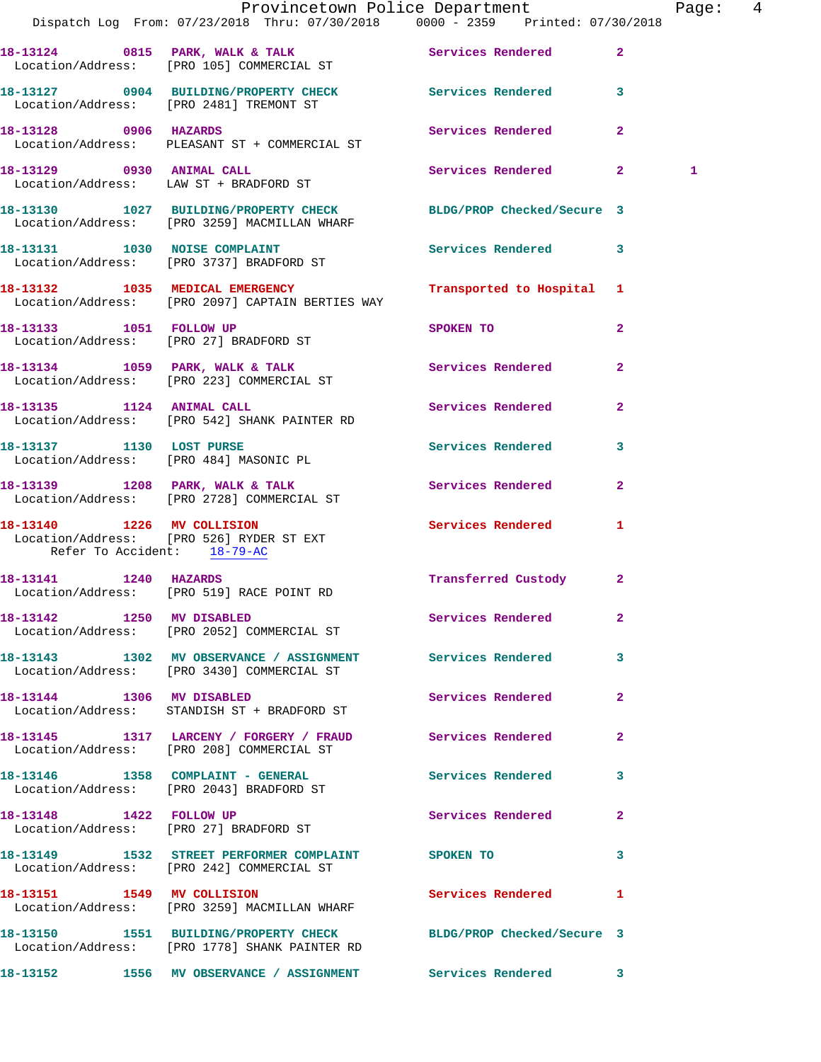|                                                           |                                                                                                                   | Provincetown Police Department    |                | Page: 4      |  |
|-----------------------------------------------------------|-------------------------------------------------------------------------------------------------------------------|-----------------------------------|----------------|--------------|--|
|                                                           | Dispatch Log From: 07/23/2018 Thru: 07/30/2018 0000 - 2359 Printed: 07/30/2018                                    |                                   |                |              |  |
|                                                           | 18-13124 0815 PARK, WALK & TALK Services Rendered 2<br>Location/Address: [PRO 105] COMMERCIAL ST                  |                                   |                |              |  |
|                                                           | 18-13127 0904 BUILDING/PROPERTY CHECK Services Rendered 3<br>Location/Address: [PRO 2481] TREMONT ST              |                                   |                |              |  |
|                                                           | 18-13128 0906 HAZARDS<br>Location/Address: PLEASANT ST + COMMERCIAL ST                                            | Services Rendered 2               |                |              |  |
|                                                           | 18-13129 0930 ANIMAL CALL<br>Location/Address: LAW ST + BRADFORD ST                                               | Services Rendered 2               |                | $\mathbf{1}$ |  |
|                                                           | 18-13130 1027 BUILDING/PROPERTY CHECK BLDG/PROP Checked/Secure 3<br>Location/Address: [PRO 3259] MACMILLAN WHARF  |                                   |                |              |  |
|                                                           | 18-13131 1030 NOISE COMPLAINT<br>Location/Address: [PRO 3737] BRADFORD ST                                         | Services Rendered 3               |                |              |  |
|                                                           | 18-13132 1035 MEDICAL EMERGENCY Transported to Hospital 1<br>Location/Address: [PRO 2097] CAPTAIN BERTIES WAY     |                                   |                |              |  |
|                                                           | 18-13133 1051 FOLLOW UP<br>Location/Address: [PRO 27] BRADFORD ST                                                 | SPOKEN TO AND TO A REAL PROPERTY. | $\overline{2}$ |              |  |
|                                                           | 18-13134 1059 PARK, WALK & TALK 1999 Services Rendered 2<br>Location/Address: [PRO 223] COMMERCIAL ST             |                                   |                |              |  |
|                                                           | 18-13135 1124 ANIMAL CALL<br>Location/Address: [PRO 542] SHANK PAINTER RD                                         | Services Rendered                 | $\mathbf{2}$   |              |  |
|                                                           | 18-13137 1130 LOST PURSE<br>Location/Address: [PRO 484] MASONIC PL                                                | Services Rendered 3               |                |              |  |
|                                                           | 18-13139 1208 PARK, WALK & TALK<br>Location/Address: [PRO 2728] COMMERCIAL ST                                     | Services Rendered 2               |                |              |  |
| 18-13140 1226 MV COLLISION<br>Refer To Accident: 18-79-AC | Location/Address: [PRO 526] RYDER ST EXT                                                                          | Services Rendered                 | $\mathbf{1}$   |              |  |
|                                                           | 18-13141 1240 HAZARDS<br>Location/Address: [PRO 519] RACE POINT RD                                                | Transferred Custody 2             |                |              |  |
|                                                           | 18-13142 1250 MV DISABLED<br>Location/Address: [PRO 2052] COMMERCIAL ST                                           | <b>Services Rendered</b> 2        |                |              |  |
|                                                           | 18-13143 1302 MV OBSERVANCE / ASSIGNMENT Services Rendered 3<br>Location/Address: [PRO 3430] COMMERCIAL ST        |                                   |                |              |  |
| 18-13144 1306 MV DISABLED                                 | Location/Address: STANDISH ST + BRADFORD ST                                                                       | Services Rendered 2               |                |              |  |
|                                                           | 18-13145 1317 LARCENY / FORGERY / FRAUD Services Rendered<br>Location/Address: [PRO 208] COMMERCIAL ST            |                                   | $\mathbf{2}$   |              |  |
|                                                           | 18-13146 1358 COMPLAINT - GENERAL Services Rendered 3<br>Location/Address: [PRO 2043] BRADFORD ST                 |                                   |                |              |  |
|                                                           | 18-13148 1422 FOLLOW UP<br>Location/Address: [PRO 27] BRADFORD ST                                                 | Services Rendered 2               |                |              |  |
|                                                           | 18-13149 1532 STREET PERFORMER COMPLAINT SPOKEN TO<br>Location/Address: [PRO 242] COMMERCIAL ST                   |                                   | 3              |              |  |
|                                                           | 18-13151 1549 MV COLLISION<br>Location/Address: [PRO 3259] MACMILLAN WHARF                                        | Services Rendered 1               |                |              |  |
|                                                           | 18-13150 1551 BUILDING/PROPERTY CHECK BLDG/PROP Checked/Secure 3<br>Location/Address: [PRO 1778] SHANK PAINTER RD |                                   |                |              |  |
|                                                           | 18-13152 1556 MV OBSERVANCE / ASSIGNMENT Services Rendered 3                                                      |                                   |                |              |  |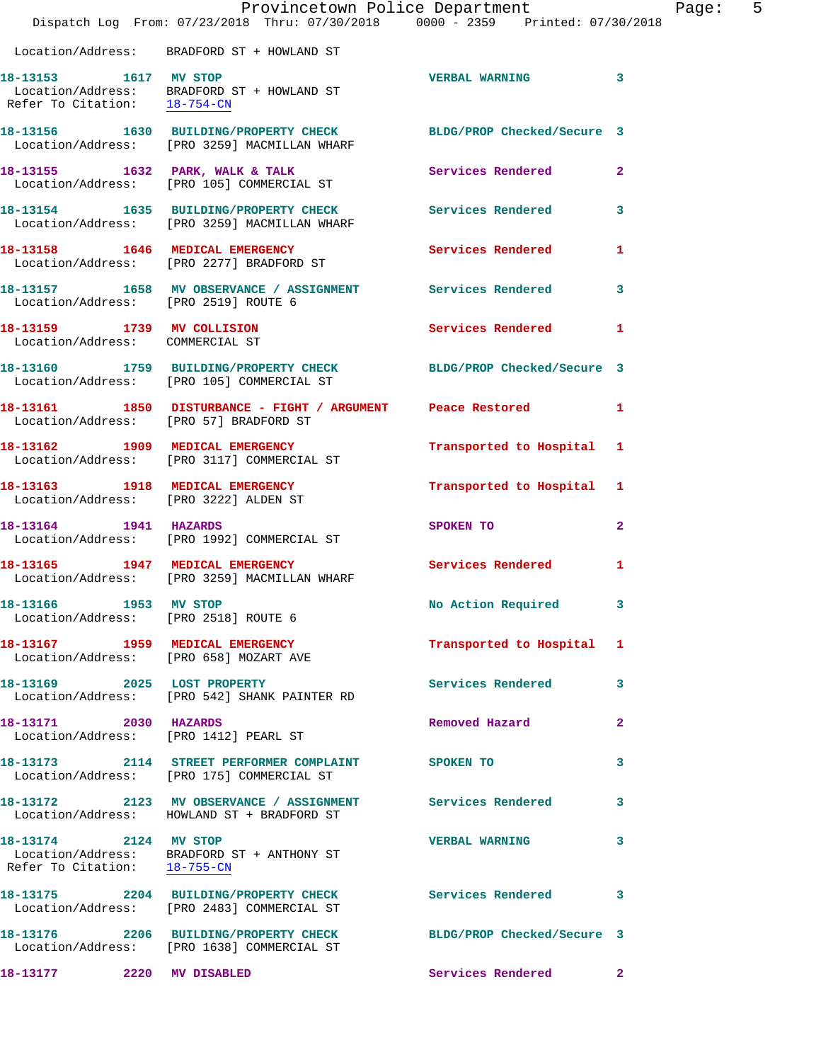|                                      | Provincetown Police Department<br>Dispatch Log From: 07/23/2018 Thru: 07/30/2018 0000 - 2359 Printed: 07/30/2018 |                            | 5<br>Page:   |
|--------------------------------------|------------------------------------------------------------------------------------------------------------------|----------------------------|--------------|
|                                      | Location/Address: BRADFORD ST + HOWLAND ST                                                                       |                            |              |
|                                      | 18-13153 1617 MV STOP<br>Location/Address: BRADFORD ST + HOWLAND ST<br>Refer To Citation: <u>18-754-CN</u>       | VERBAL WARNING 3           |              |
|                                      | 18-13156 1630 BUILDING/PROPERTY CHECK BLDG/PROP Checked/Secure 3<br>Location/Address: [PRO 3259] MACMILLAN WHARF |                            |              |
|                                      | 18-13155 1632 PARK, WALK & TALK<br>Location/Address: [PRO 105] COMMERCIAL ST                                     | Services Rendered 2        |              |
|                                      | 18-13154 1635 BUILDING/PROPERTY CHECK Services Rendered 3<br>Location/Address: [PRO 3259] MACMILLAN WHARF        |                            |              |
|                                      | 18-13158 1646 MEDICAL EMERGENCY<br>Location/Address: [PRO 2277] BRADFORD ST                                      | Services Rendered 1        |              |
| Location/Address: [PRO 2519] ROUTE 6 | 18-13157 1658 MV OBSERVANCE / ASSIGNMENT Services Rendered 3                                                     |                            |              |
| Location/Address: COMMERCIAL ST      | 18-13159 1739 MV COLLISION                                                                                       | Services Rendered 1        |              |
|                                      | 18-13160 1759 BUILDING/PROPERTY CHECK BLDG/PROP Checked/Secure 3<br>Location/Address: [PRO 105] COMMERCIAL ST    |                            |              |
|                                      | 18-13161 1850 DISTURBANCE - FIGHT / ARGUMENT Peace Restored 1<br>Location/Address: [PRO 57] BRADFORD ST          |                            |              |
|                                      | 18-13162 1909 MEDICAL EMERGENCY<br>Location/Address: [PRO 3117] COMMERCIAL ST                                    | Transported to Hospital 1  |              |
|                                      | 18-13163 1918 MEDICAL EMERGENCY<br>Location/Address: [PRO 3222] ALDEN ST                                         | Transported to Hospital 1  |              |
|                                      | 18-13164 1941 HAZARDS<br>Location/Address: [PRO 1992] COMMERCIAL ST                                              | SPOKEN TO                  | $\mathbf{2}$ |
|                                      | 18-13165 1947 MEDICAL EMERGENCY<br>Location/Address: [PRO 3259] MACMILLAN WHARF                                  | Services Rendered          | 1            |
| 18-13166 1953 MV STOP                | Location/Address: [PRO 2518] ROUTE 6                                                                             | No Action Required 3       |              |
|                                      | 18-13167 1959 MEDICAL EMERGENCY<br>Location/Address: [PRO 658] MOZART AVE                                        | Transported to Hospital 1  |              |
|                                      | 18-13169 2025 LOST PROPERTY<br>Location/Address: [PRO 542] SHANK PAINTER RD                                      | Services Rendered          | $\mathbf{3}$ |
| 18-13171 2030 HAZARDS                | Location/Address: [PRO 1412] PEARL ST                                                                            | Removed Hazard             | $\mathbf{2}$ |
|                                      | 18-13173 2114 STREET PERFORMER COMPLAINT<br>Location/Address: [PRO 175] COMMERCIAL ST                            | SPOKEN TO                  | 3            |
|                                      | 18-13172 2123 MV OBSERVANCE / ASSIGNMENT Services Rendered 3<br>Location/Address: HOWLAND ST + BRADFORD ST       |                            |              |
| 18-13174 2124 MV STOP                | Location/Address: BRADFORD ST + ANTHONY ST<br>Refer To Citation: 18-755-CN                                       | <b>VERBAL WARNING</b>      | 3            |
|                                      | 18-13175 2204 BUILDING/PROPERTY CHECK<br>Location/Address: [PRO 2483] COMMERCIAL ST                              | <b>Services Rendered</b>   | 3            |
|                                      | 18-13176 2206 BUILDING/PROPERTY CHECK<br>Location/Address: [PRO 1638] COMMERCIAL ST                              | BLDG/PROP Checked/Secure 3 |              |
| 18-13177 2220 MV DISABLED            |                                                                                                                  | Services Rendered 2        |              |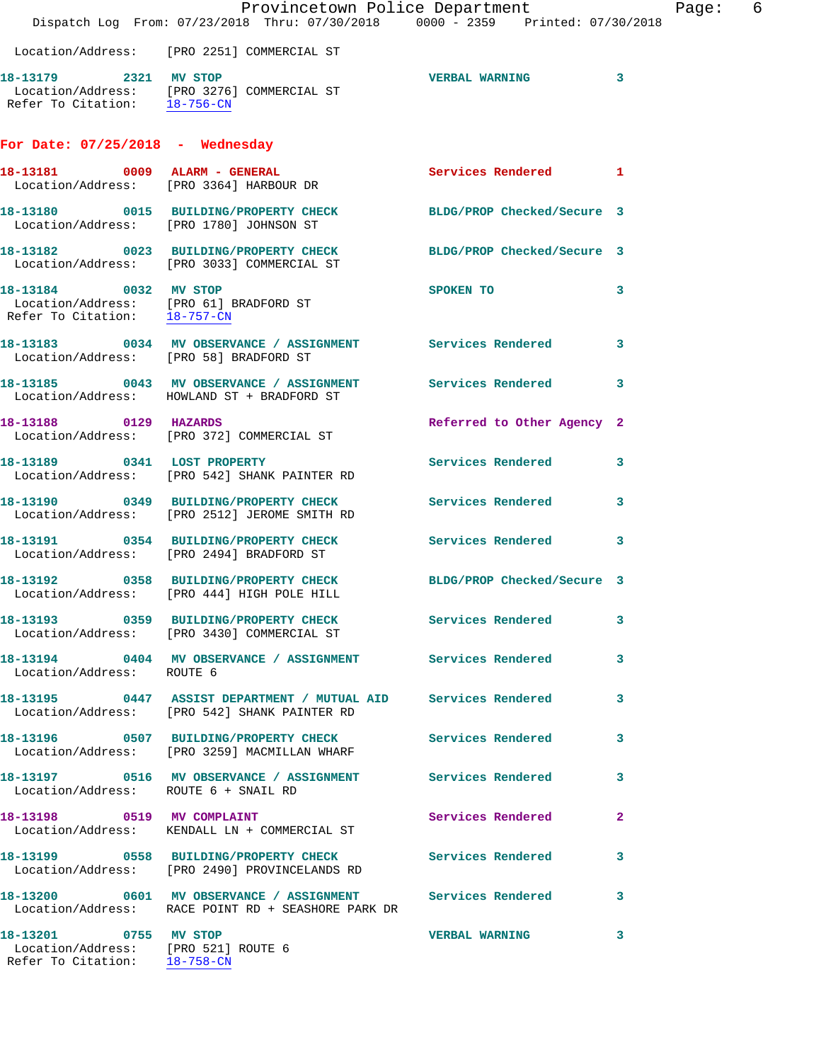|                                                                                              | Dispatch Log From: 07/23/2018 Thru: 07/30/2018 0000 - 2359 Printed: 07/30/2018                                   | Provincetown Police Department |                         | 6<br>Page: |
|----------------------------------------------------------------------------------------------|------------------------------------------------------------------------------------------------------------------|--------------------------------|-------------------------|------------|
|                                                                                              | Location/Address: [PRO 2251] COMMERCIAL ST                                                                       |                                |                         |            |
| 18-13179 2321 MV STOP<br>Refer To Citation: 18-756-CN                                        | Location/Address: [PRO 3276] COMMERCIAL ST                                                                       | <b>VERBAL WARNING</b>          | $\overline{\mathbf{3}}$ |            |
| For Date: $07/25/2018$ - Wednesday                                                           |                                                                                                                  |                                |                         |            |
|                                                                                              | 18-13181 0009 ALARM - GENERAL<br>Location/Address: [PRO 3364] HARBOUR DR                                         | Services Rendered 1            |                         |            |
|                                                                                              | 18-13180 0015 BUILDING/PROPERTY CHECK<br>Location/Address: [PRO 1780] JOHNSON ST                                 | BLDG/PROP Checked/Secure 3     |                         |            |
|                                                                                              | 18-13182 0023 BUILDING/PROPERTY CHECK<br>Location/Address: [PRO 3033] COMMERCIAL ST                              | BLDG/PROP Checked/Secure 3     |                         |            |
|                                                                                              | 18-13184 0032 MV STOP<br>Location/Address: [PRO 61] BRADFORD ST<br>Refer To Citation: 18-757-CN                  | SPOKEN TO                      | $\overline{\mathbf{3}}$ |            |
| Location/Address: [PRO 58] BRADFORD ST                                                       | 18-13183 0034 MV OBSERVANCE / ASSIGNMENT Services Rendered                                                       |                                | $\overline{\mathbf{3}}$ |            |
|                                                                                              | 18-13185 0043 MV OBSERVANCE / ASSIGNMENT Services Rendered<br>Location/Address: HOWLAND ST + BRADFORD ST         |                                | $\overline{\mathbf{3}}$ |            |
| 18-13188 0129 HAZARDS                                                                        | Location/Address: [PRO 372] COMMERCIAL ST                                                                        | Referred to Other Agency 2     |                         |            |
|                                                                                              | 18-13189 0341 LOST PROPERTY<br>Location/Address: [PRO 542] SHANK PAINTER RD                                      | Services Rendered 3            |                         |            |
|                                                                                              | 18-13190 0349 BUILDING/PROPERTY CHECK Services Rendered<br>Location/Address: [PRO 2512] JEROME SMITH RD          |                                | $\mathbf{3}$            |            |
|                                                                                              | 18-13191 0354 BUILDING/PROPERTY CHECK Services Rendered 3<br>Location/Address: [PRO 2494] BRADFORD ST            |                                |                         |            |
|                                                                                              | 18-13192 0358 BUILDING/PROPERTY CHECK<br>Location/Address: [PRO 444] HIGH POLE HILL                              | BLDG/PROP Checked/Secure 3     |                         |            |
|                                                                                              | 18-13193 0359 BUILDING/PROPERTY CHECK Services Rendered<br>Location/Address: [PRO 3430] COMMERCIAL ST            |                                | 3                       |            |
| Location/Address: ROUTE 6                                                                    | 18-13194 0404 MV OBSERVANCE / ASSIGNMENT Services Rendered 3                                                     |                                |                         |            |
|                                                                                              | 18-13195 0447 ASSIST DEPARTMENT / MUTUAL AID Services Rendered<br>Location/Address: [PRO 542] SHANK PAINTER RD   |                                | 3                       |            |
|                                                                                              | 18-13196 0507 BUILDING/PROPERTY CHECK Services Rendered<br>Location/Address: [PRO 3259] MACMILLAN WHARF          |                                | 3                       |            |
| Location/Address: ROUTE 6 + SNAIL RD                                                         | 18-13197 0516 MV OBSERVANCE / ASSIGNMENT Services Rendered                                                       |                                | 3                       |            |
|                                                                                              | 18-13198 0519 MV COMPLAINT<br>Location/Address: KENDALL LN + COMMERCIAL ST                                       | Services Rendered              | $\mathbf{2}$            |            |
|                                                                                              | 18-13199 0558 BUILDING/PROPERTY CHECK Services Rendered 3<br>Location/Address: [PRO 2490] PROVINCELANDS RD       |                                |                         |            |
|                                                                                              | 18-13200 0601 MV OBSERVANCE / ASSIGNMENT Services Rendered<br>Location/Address: RACE POINT RD + SEASHORE PARK DR |                                | 3                       |            |
| 18-13201 0755 MV STOP<br>Location/Address: [PRO 521] ROUTE 6<br>Refer To Citation: 18-758-CN |                                                                                                                  | <b>VERBAL WARNING</b>          | 3                       |            |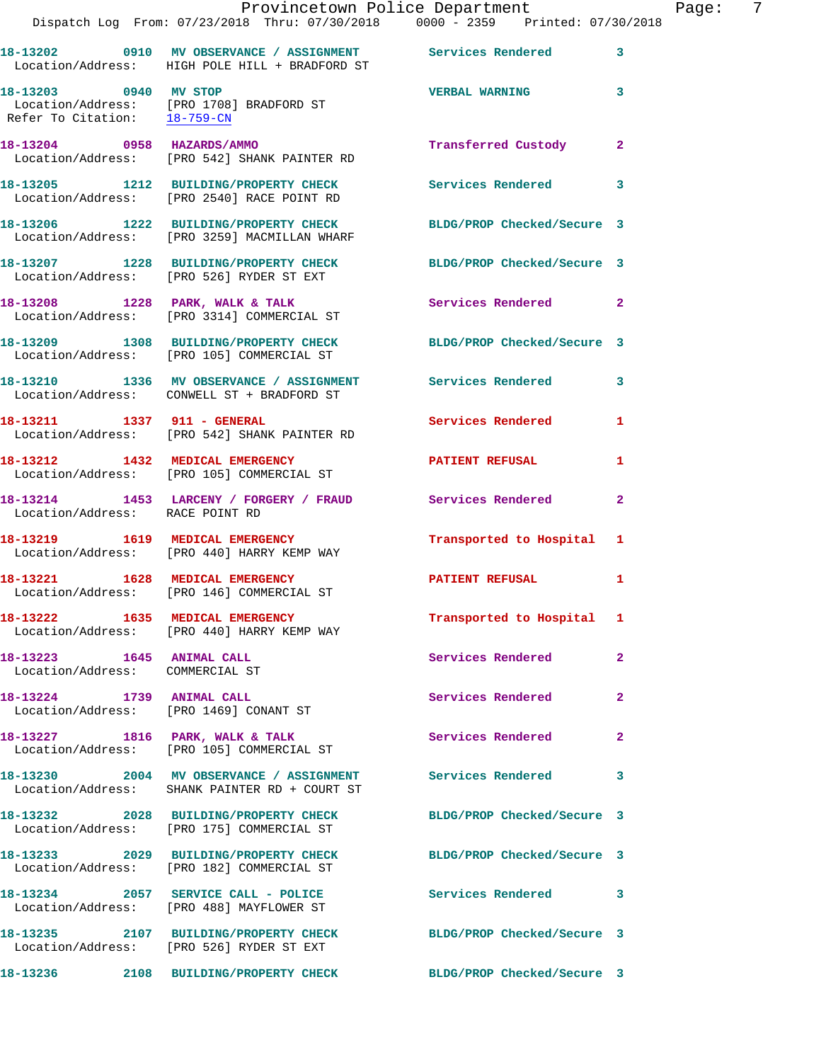|                                                              | Dispatch Log From: 07/23/2018 Thru: 07/30/2018 0000 - 2359 Printed: 07/30/2018                                   | Provincetown Police Department Page: 7 |              |
|--------------------------------------------------------------|------------------------------------------------------------------------------------------------------------------|----------------------------------------|--------------|
|                                                              | 18-13202 0910 MV OBSERVANCE / ASSIGNMENT Services Rendered 3<br>Location/Address: HIGH POLE HILL + BRADFORD ST   |                                        |              |
| 18-13203 0940 MV STOP                                        | Location/Address: [PRO 1708] BRADFORD ST<br>Refer To Citation: 18-759-CN                                         | <b>VERBAL WARNING</b> 3                |              |
|                                                              | 18-13204 0958 HAZARDS/AMMO<br>Location/Address: [PRO 542] SHANK PAINTER RD                                       | Transferred Custody 2                  |              |
|                                                              | 18-13205 1212 BUILDING/PROPERTY CHECK Services Rendered<br>Location/Address: [PRO 2540] RACE POINT RD            |                                        | $\mathbf{3}$ |
|                                                              | 18-13206 1222 BUILDING/PROPERTY CHECK BLDG/PROP Checked/Secure 3<br>Location/Address: [PRO 3259] MACMILLAN WHARF |                                        |              |
|                                                              | 18-13207 1228 BUILDING/PROPERTY CHECK BLDG/PROP Checked/Secure 3<br>Location/Address: [PRO 526] RYDER ST EXT     |                                        |              |
|                                                              | 18-13208 1228 PARK, WALK & TALK 6 Services Rendered 2<br>Location/Address: [PRO 3314] COMMERCIAL ST              |                                        |              |
|                                                              | 18-13209 1308 BUILDING/PROPERTY CHECK BLDG/PROP Checked/Secure 3<br>Location/Address: [PRO 105] COMMERCIAL ST    |                                        |              |
|                                                              | 18-13210 1336 MV OBSERVANCE / ASSIGNMENT Services Rendered 3<br>Location/Address: CONWELL ST + BRADFORD ST       |                                        |              |
|                                                              | 18-13211 1337 911 - GENERAL<br>Location/Address: [PRO 542] SHANK PAINTER RD                                      | Services Rendered                      | 1            |
|                                                              | 18-13212 1432 MEDICAL EMERGENCY PATIENT REFUSAL<br>Location/Address: [PRO 105] COMMERCIAL ST                     |                                        | 1            |
| Location/Address: RACE POINT RD                              | 18-13214 1453 LARCENY / FORGERY / FRAUD Services Rendered                                                        |                                        | $\mathbf{2}$ |
|                                                              | 18-13219 1619 MEDICAL EMERGENCY<br>Location/Address: [PRO 440] HARRY KEMP WAY                                    | Transported to Hospital 1              |              |
|                                                              | 18-13221 1628 MEDICAL EMERGENCY<br>Location/Address: [PRO 146] COMMERCIAL ST                                     | PATIENT REFUSAL                        | 1            |
|                                                              | 18-13222 1635 MEDICAL EMERGENCY<br>Location/Address: [PRO 440] HARRY KEMP WAY                                    | Transported to Hospital 1              |              |
| 18-13223 1645 ANIMAL CALL<br>Location/Address: COMMERCIAL ST |                                                                                                                  | <b>Services Rendered</b>               | $\mathbf{2}$ |
|                                                              | 18-13224 1739 ANIMAL CALL<br>Location/Address: [PRO 1469] CONANT ST                                              | Services Rendered                      | $\mathbf{2}$ |
|                                                              | 18-13227 1816 PARK, WALK & TALK<br>Location/Address: [PRO 105] COMMERCIAL ST                                     | <b>Services Rendered</b>               | $\mathbf{2}$ |
|                                                              | 18-13230 2004 MV OBSERVANCE / ASSIGNMENT Services Rendered<br>Location/Address: SHANK PAINTER RD + COURT ST      |                                        | 3            |
|                                                              | 18-13232 2028 BUILDING/PROPERTY CHECK<br>Location/Address: [PRO 175] COMMERCIAL ST                               | BLDG/PROP Checked/Secure 3             |              |
|                                                              | 18-13233 2029 BUILDING/PROPERTY CHECK BLDG/PROP Checked/Secure 3<br>Location/Address: [PRO 182] COMMERCIAL ST    |                                        |              |
|                                                              | 18-13234 2057 SERVICE CALL - POLICE<br>Location/Address: [PRO 488] MAYFLOWER ST                                  | Services Rendered 3                    |              |
|                                                              | 18-13235 2107 BUILDING/PROPERTY CHECK BLDG/PROP Checked/Secure 3<br>Location/Address: [PRO 526] RYDER ST EXT     |                                        |              |
|                                                              | 18-13236 2108 BUILDING/PROPERTY CHECK BLDG/PROP Checked/Secure 3                                                 |                                        |              |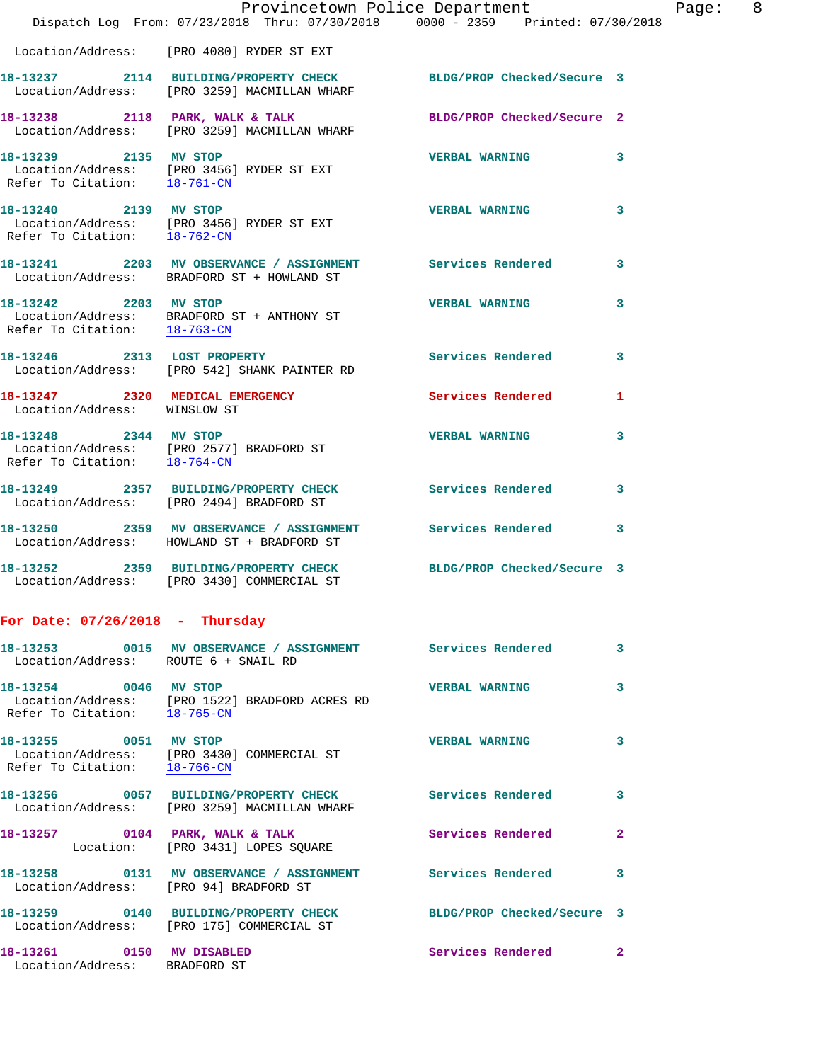|                                                                 | Provincetown Police Department<br>Dispatch Log From: 07/23/2018 Thru: 07/30/2018 0000 - 2359 Printed: 07/30/2018 |                            |   |
|-----------------------------------------------------------------|------------------------------------------------------------------------------------------------------------------|----------------------------|---|
|                                                                 | Location/Address: [PRO 4080] RYDER ST EXT                                                                        |                            |   |
|                                                                 | 18-13237 2114 BUILDING/PROPERTY CHECK<br>Location/Address: [PRO 3259] MACMILLAN WHARF                            | BLDG/PROP Checked/Secure 3 |   |
|                                                                 | 18-13238 2118 PARK, WALK & TALK<br>Location/Address: [PRO 3259] MACMILLAN WHARF                                  | BLDG/PROP Checked/Secure 2 |   |
| 18-13239 2135 MV STOP                                           | Location/Address: [PRO 3456] RYDER ST EXT<br>Refer To Citation: 18-761-CN                                        | <b>VERBAL WARNING</b>      | 3 |
| 18-13240 2139 MV STOP<br>Refer To Citation: 18-762-CN           | Location/Address: [PRO 3456] RYDER ST EXT                                                                        | <b>VERBAL WARNING</b>      | 3 |
|                                                                 | 18-13241 2203 MV OBSERVANCE / ASSIGNMENT Services Rendered<br>Location/Address: BRADFORD ST + HOWLAND ST         |                            | 3 |
| 18-13242 2203 MV STOP                                           | Location/Address: BRADFORD ST + ANTHONY ST<br>Refer To Citation: $\frac{18-763-CN}{18-763-CN}$                   | <b>VERBAL WARNING</b>      | 3 |
|                                                                 | 18-13246 2313 LOST PROPERTY<br>Location/Address: [PRO 542] SHANK PAINTER RD                                      | <b>Services Rendered</b>   | 3 |
| 18-13247 2320 MEDICAL EMERGENCY<br>Location/Address: WINSLOW ST |                                                                                                                  | Services Rendered          | 1 |
| Refer To Citation: 18-764-CN                                    | 18-13248 2344 MV STOP<br>Location/Address: [PRO 2577] BRADFORD ST                                                | <b>VERBAL WARNING</b>      | 3 |
|                                                                 | 18-13249 2357 BUILDING/PROPERTY CHECK<br>Location/Address: [PRO 2494] BRADFORD ST                                | <b>Services Rendered</b>   | 3 |
|                                                                 | 18-13250 2359 MV OBSERVANCE / ASSIGNMENT<br>Location/Address: HOWLAND ST + BRADFORD ST                           | <b>Services Rendered</b>   | 3 |
|                                                                 | 18-13252 2359 BUILDING/PROPERTY CHECK<br>Location/Address: [PRO 3430] COMMERCIAL ST                              | BLDG/PROP Checked/Secure 3 |   |
| For Date: $07/26/2018$ - Thursday                               |                                                                                                                  |                            |   |
| Location/Address: ROUTE 6 + SNAIL RD                            |                                                                                                                  |                            | 3 |
| 18-13254 0046 MV STOP                                           | Location/Address: [PRO 1522] BRADFORD ACRES RD<br>Refer To Citation: 18-765-CN                                   | <b>VERBAL WARNING</b>      | 3 |
| 18-13255 0051 MV STOP<br>Refer To Citation: 18-766-CN           | Location/Address: [PRO 3430] COMMERCIAL ST                                                                       | <b>VERBAL WARNING</b>      | 3 |
|                                                                 | 18-13256 0057 BUILDING/PROPERTY CHECK<br>Location/Address: [PRO 3259] MACMILLAN WHARF                            | Services Rendered          | 3 |
|                                                                 | 18-13257 0104 PARK, WALK & TALK<br>Location: [PRO 3431] LOPES SQUARE                                             | <b>Services Rendered</b>   | 2 |
| Location/Address: [PRO 94] BRADFORD ST                          | 18-13258 0131 MV OBSERVANCE / ASSIGNMENT Services Rendered                                                       |                            | 3 |
|                                                                 | 18-13259 0140 BUILDING/PROPERTY CHECK<br>Location/Address: [PRO 175] COMMERCIAL ST                               | BLDG/PROP Checked/Secure 3 |   |

**18-13261 0150 MV DISABLED Services Rendered 2**  Location/Address: BRADFORD ST

Page: 8<br>18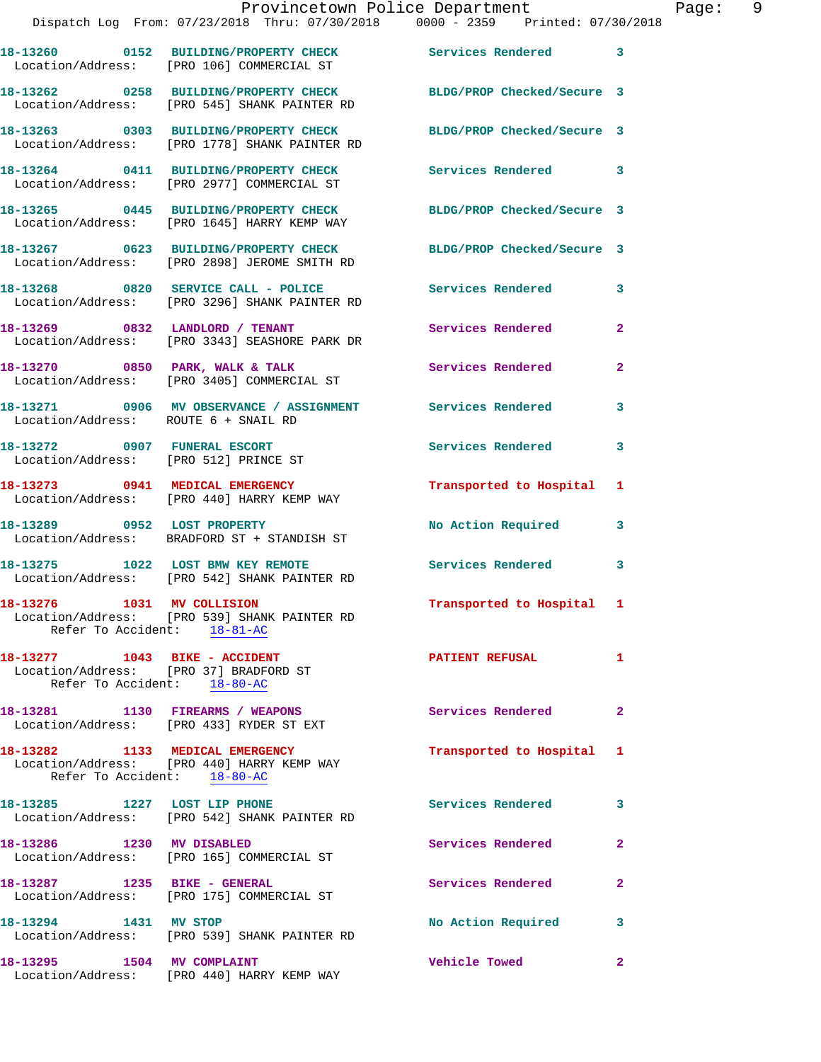|                                                              | Provincetown Police Department                                                                                    |                            |                |
|--------------------------------------------------------------|-------------------------------------------------------------------------------------------------------------------|----------------------------|----------------|
|                                                              | Dispatch Log From: 07/23/2018 Thru: 07/30/2018 0000 - 2359 Printed: 07/30/2018                                    |                            |                |
|                                                              | 18-13260 0152 BUILDING/PROPERTY CHECK Services Rendered<br>Location/Address: [PRO 106] COMMERCIAL ST              |                            | 3              |
|                                                              | 18-13262 0258 BUILDING/PROPERTY CHECK BLDG/PROP Checked/Secure 3<br>Location/Address: [PRO 545] SHANK PAINTER RD  |                            |                |
|                                                              | 18-13263 0303 BUILDING/PROPERTY CHECK BLDG/PROP Checked/Secure 3<br>Location/Address: [PRO 1778] SHANK PAINTER RD |                            |                |
|                                                              | 18-13264 0411 BUILDING/PROPERTY CHECK Services Rendered<br>Location/Address: [PRO 2977] COMMERCIAL ST             |                            | 3              |
|                                                              | 18-13265 0445 BUILDING/PROPERTY CHECK<br>Location/Address: [PRO 1645] HARRY KEMP WAY                              | BLDG/PROP Checked/Secure 3 |                |
|                                                              | 18-13267 0623 BUILDING/PROPERTY CHECK BLDG/PROP Checked/Secure 3<br>Location/Address: [PRO 2898] JEROME SMITH RD  |                            |                |
|                                                              | 18-13268 0820 SERVICE CALL - POLICE<br>Location/Address: [PRO 3296] SHANK PAINTER RD                              | <b>Services Rendered</b>   | 3              |
|                                                              | 18-13269 0832 LANDLORD / TENANT<br>Location/Address: [PRO 3343] SEASHORE PARK DR                                  | <b>Services Rendered</b>   | $\mathbf{2}$   |
|                                                              | 18-13270 0850 PARK, WALK & TALK<br>Location/Address: [PRO 3405] COMMERCIAL ST                                     | Services Rendered          | $\overline{a}$ |
| Location/Address: ROUTE 6 + SNAIL RD                         | 18-13271 0906 MV OBSERVANCE / ASSIGNMENT Services Rendered                                                        |                            | 3              |
|                                                              | 18-13272 0907 FUNERAL ESCORT<br>Location/Address: [PRO 512] PRINCE ST                                             | <b>Services Rendered</b>   | 3              |
|                                                              | 18-13273 0941 MEDICAL EMERGENCY<br>Location/Address: [PRO 440] HARRY KEMP WAY                                     | Transported to Hospital    | 1              |
| 18-13289 0952 LOST PROPERTY                                  | Location/Address: BRADFORD ST + STANDISH ST                                                                       | No Action Required         | 3              |
|                                                              | 18-13275 1022 LOST BMW KEY REMOTE<br>Location/Address: [PRO 542] SHANK PAINTER RD                                 | Services Rendered          | 3              |
| 18-13276 1031 MV COLLISION<br>Refer To Accident: 18-81-AC    | Location/Address: [PRO 539] SHANK PAINTER RD                                                                      | Transported to Hospital    | 1              |
| 18-13277 1043 BIKE - ACCIDENT<br>Refer To Accident: 18-80-AC | Location/Address: [PRO 37] BRADFORD ST                                                                            | <b>PATIENT REFUSAL</b>     | 1              |
|                                                              | 18-13281 1130 FIREARMS / WEAPONS<br>Location/Address: [PRO 433] RYDER ST EXT                                      | Services Rendered          | 2              |
| Refer To Accident: 18-80-AC                                  | 18-13282 1133 MEDICAL EMERGENCY<br>Location/Address: [PRO 440] HARRY KEMP WAY                                     | Transported to Hospital    | 1              |
| 18-13285 1227 LOST LIP PHONE                                 | Location/Address: [PRO 542] SHANK PAINTER RD                                                                      | <b>Services Rendered</b>   | 3              |
| 18-13286                                                     | 1230 MV DISABLED                                                                                                  | Services Rendered          | 2              |

 Location/Address: [PRO 165] COMMERCIAL ST 18-13287 1235 BIKE - GENERAL **Services Rendered** 2 Location/Address: [PRO 175] COMMERCIAL ST 18-13294 1431 MV STOP 18-13294 1431 MV STOP Location/Address: [PRO 539] SHANK PAINTER RD

**18-13295 1504 MV COMPLAINT Vehicle Towed 2**  Location/Address: [PRO 440] HARRY KEMP WAY

Page: 9<br>8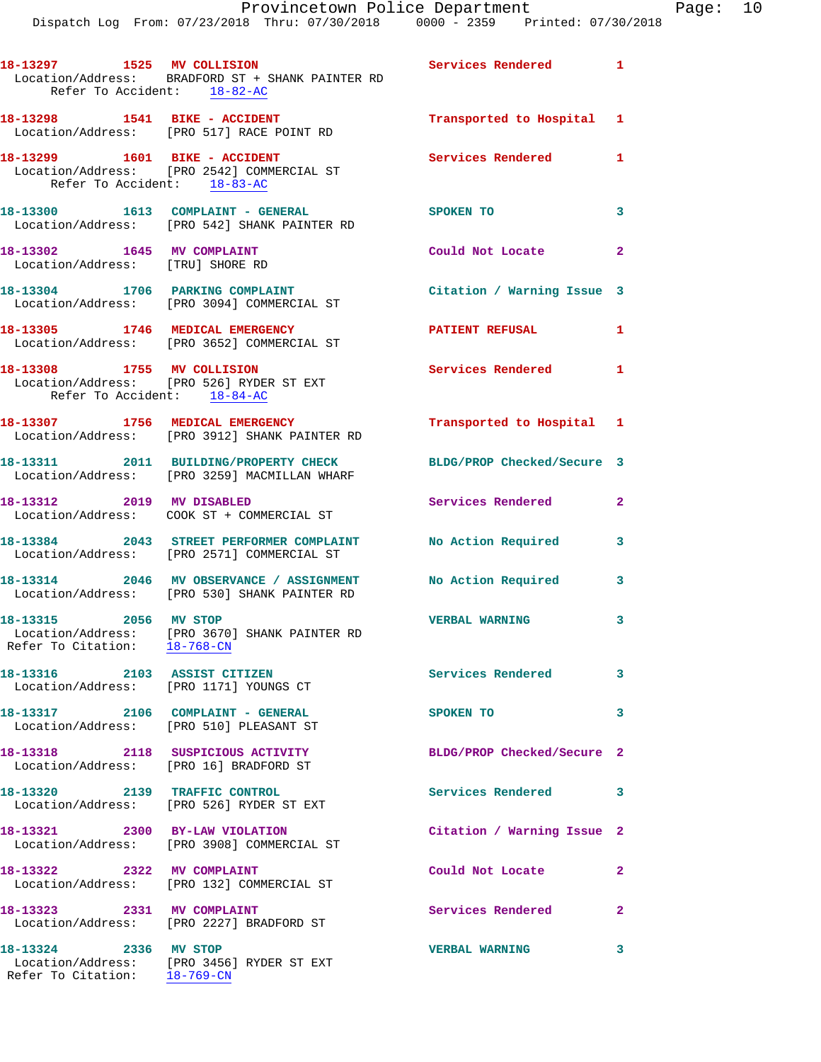|                                                                | Provincetown Police Department<br>Dispatch Log From: 07/23/2018 Thru: 07/30/2018 0000 - 2359 Printed: 07/30/2018 |                            |                |
|----------------------------------------------------------------|------------------------------------------------------------------------------------------------------------------|----------------------------|----------------|
| Refer To Accident: 18-82-AC                                    | 18-13297 1525 MV COLLISION 2008 Services Rendered<br>Location/Address: BRADFORD ST + SHANK PAINTER RD            |                            | $\mathbf{1}$   |
|                                                                | Location/Address: [PRO 517] RACE POINT RD                                                                        | Transported to Hospital 1  |                |
| 18-13299   1601 BIKE - ACCIDENT<br>Refer To Accident: 18-83-AC | Location/Address: [PRO 2542] COMMERCIAL ST                                                                       | <b>Services Rendered</b>   | 1              |
|                                                                | Location/Address: [PRO 542] SHANK PAINTER RD                                                                     | SPOKEN TO                  | 3              |
| 18-13302 1645 MV COMPLAINT<br>Location/Address: [TRU] SHORE RD |                                                                                                                  | Could Not Locate           | $\overline{2}$ |
|                                                                | 18-13304 1706 PARKING COMPLAINT<br>Location/Address: [PRO 3094] COMMERCIAL ST                                    | Citation / Warning Issue 3 |                |
|                                                                | 18-13305 1746 MEDICAL EMERGENCY<br>Location/Address: [PRO 3652] COMMERCIAL ST                                    | <b>PATIENT REFUSAL</b>     | 1              |
| 18-13308 1755 MV COLLISION                                     | Location/Address: [PRO 526] RYDER ST EXT                                                                         | <b>Services Rendered</b>   | 1              |

Refer To Accident: 18-84-AC

**18-13307 1756 MEDICAL EMERGENCY Transported to Hospital 1**  Location/Address: [PRO 3912] SHANK PAINTER RD

**18-13311 2011 BUILDING/PROPERTY CHECK BLDG/PROP Checked/Secure 3**  Location/Address: [PRO 3259] MACMILLAN WHARF

**18-13312 2019 MV DISABLED Services Rendered 2**  Location/Address: COOK ST + COMMERCIAL ST

**18-13384 2043 STREET PERFORMER COMPLAINT No Action Required 3**  Location/Address: [PRO 2571] COMMERCIAL ST

**18-13314 2046 MV OBSERVANCE / ASSIGNMENT No Action Required 3**  Location/Address: [PRO 530] SHANK PAINTER RD

 Location/Address: [PRO 3670] SHANK PAINTER RD Refer To Citation: 18-768-CN

**18-13316 2103 ASSIST CITIZEN Services Rendered 3**  Location/Address: [PRO 1171] YOUNGS CT

**18-13317 2106 COMPLAINT - GENERAL SPOKEN TO 3**  Location/Address: [PRO 510] PLEASANT ST

Location/Address: [PRO 16] BRADFORD ST

**18-13320 2139 TRAFFIC CONTROL Services Rendered 3**  Location/Address: [PRO 526] RYDER ST EXT

Location/Address: [PRO 3908] COMMERCIAL ST

**18-13322 2322 MV COMPLAINT Could Not Locate 2**  Location/Address: [PRO 132] COMMERCIAL ST

Location/Address: [PRO 2227] BRADFORD ST

**18-13324 2336 MV STOP VERBAL WARNING 3**  Location/Address: [PRO 3456] RYDER ST EXT Refer To Citation: 18-769-CN

**18-13315 2056 MV STOP VERBAL WARNING 3** 

**18-13318 2118 SUSPICIOUS ACTIVITY BLDG/PROP Checked/Secure 2** 

**18-13321 2300 BY-LAW VIOLATION Citation / Warning Issue 2** 

**18-13323 2331 MV COMPLAINT Services Rendered 2** 

Page:  $10^{18}$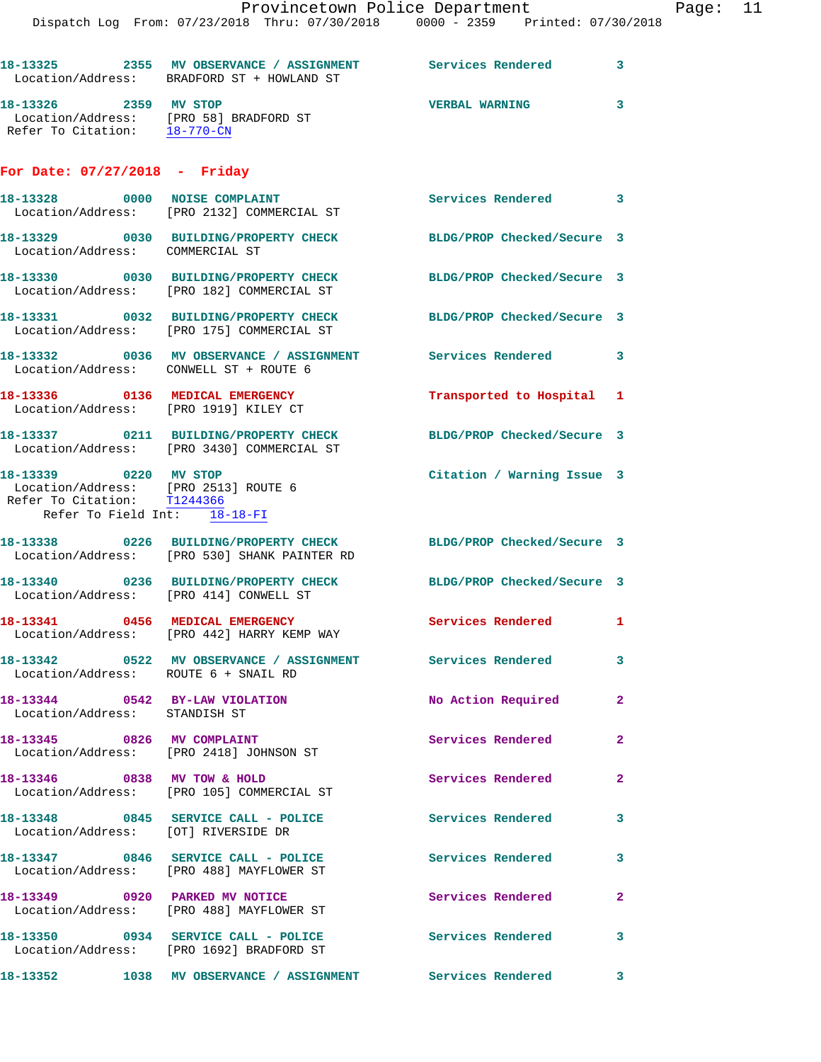|                                                                                      | Dispatch Log From: 07/23/2018 Thru: 07/30/2018 0000 - 2359 Printed: 07/30/2018                                   | Provincetown Police Department |              | Page: 11 |  |
|--------------------------------------------------------------------------------------|------------------------------------------------------------------------------------------------------------------|--------------------------------|--------------|----------|--|
|                                                                                      | 18-13325 2355 MV OBSERVANCE / ASSIGNMENT Services Rendered 3<br>Location/Address: BRADFORD ST + HOWLAND ST       |                                |              |          |  |
| 18-13326 2359 MV STOP<br>Refer To Citation: 18-770-CN                                | Location/Address: [PRO 58] BRADFORD ST                                                                           | <b>VERBAL WARNING</b>          | 3            |          |  |
| For Date: $07/27/2018$ - Friday                                                      |                                                                                                                  |                                |              |          |  |
|                                                                                      | 18-13328 0000 NOISE COMPLAINT<br>Location/Address: [PRO 2132] COMMERCIAL ST                                      | Services Rendered 3            |              |          |  |
| Location/Address: COMMERCIAL ST                                                      | 18-13329 0030 BUILDING/PROPERTY CHECK BLDG/PROP Checked/Secure 3                                                 |                                |              |          |  |
|                                                                                      | 18-13330 0030 BUILDING/PROPERTY CHECK BLDG/PROP Checked/Secure 3<br>Location/Address: [PRO 182] COMMERCIAL ST    |                                |              |          |  |
|                                                                                      | 18-13331 0032 BUILDING/PROPERTY CHECK BLDG/PROP Checked/Secure 3<br>Location/Address: [PRO 175] COMMERCIAL ST    |                                |              |          |  |
| Location/Address: CONWELL ST + ROUTE 6                                               | 18-13332 0036 MV OBSERVANCE / ASSIGNMENT Services Rendered 3                                                     |                                |              |          |  |
|                                                                                      | 18-13336 0136 MEDICAL EMERGENCY<br>Location/Address: [PRO 1919] KILEY CT                                         | Transported to Hospital 1      |              |          |  |
|                                                                                      | 18-13337 0211 BUILDING/PROPERTY CHECK BLDG/PROP Checked/Secure 3<br>Location/Address: [PRO 3430] COMMERCIAL ST   |                                |              |          |  |
| 18-13339 0220 MV STOP<br>Refer To Citation: T1244366<br>Refer To Field Int: 18-18-FI | Location/Address: [PRO 2513] ROUTE 6                                                                             | Citation / Warning Issue 3     |              |          |  |
|                                                                                      | 18-13338 0226 BUILDING/PROPERTY CHECK BLDG/PROP Checked/Secure 3<br>Location/Address: [PRO 530] SHANK PAINTER RD |                                |              |          |  |
| Location/Address: [PRO 414] CONWELL ST                                               | 18-13340 0236 BUILDING/PROPERTY CHECK BLDG/PROP Checked/Secure 3                                                 |                                |              |          |  |
|                                                                                      | 18-13341 0456 MEDICAL EMERGENCY<br>Location/Address: [PRO 442] HARRY KEMP WAY                                    | Services Rendered 1            |              |          |  |
| Location/Address: ROUTE 6 + SNAIL RD                                                 | 18-13342 		 0522 MV OBSERVANCE / ASSIGNMENT Services Rendered                                                    |                                | 3            |          |  |
| 18-13344 0542 BY-LAW VIOLATION<br>Location/Address: STANDISH ST                      |                                                                                                                  | No Action Required             | $\mathbf{2}$ |          |  |
|                                                                                      | 18-13345 0826 MV COMPLAINT<br>Location/Address: [PRO 2418] JOHNSON ST                                            | Services Rendered              | $\mathbf{2}$ |          |  |
|                                                                                      | 18-13346 0838 MV TOW & HOLD<br>Location/Address: [PRO 105] COMMERCIAL ST                                         | Services Rendered              | $\mathbf{2}$ |          |  |
| Location/Address: [OT] RIVERSIDE DR                                                  | 18-13348 0845 SERVICE CALL - POLICE Services Rendered                                                            |                                | 3            |          |  |
|                                                                                      | 18-13347 0846 SERVICE CALL - POLICE 3 Services Rendered 3<br>Location/Address: [PRO 488] MAYFLOWER ST            |                                |              |          |  |
|                                                                                      | 18-13349 0920 PARKED MV NOTICE<br>Location/Address: [PRO 488] MAYFLOWER ST                                       | Services Rendered              | $\mathbf{2}$ |          |  |
|                                                                                      | 18-13350 0934 SERVICE CALL - POLICE Services Rendered 3<br>Location/Address: [PRO 1692] BRADFORD ST              |                                |              |          |  |
|                                                                                      | 18-13352 1038 MV OBSERVANCE / ASSIGNMENT Services Rendered                                                       |                                | 3            |          |  |
|                                                                                      |                                                                                                                  |                                |              |          |  |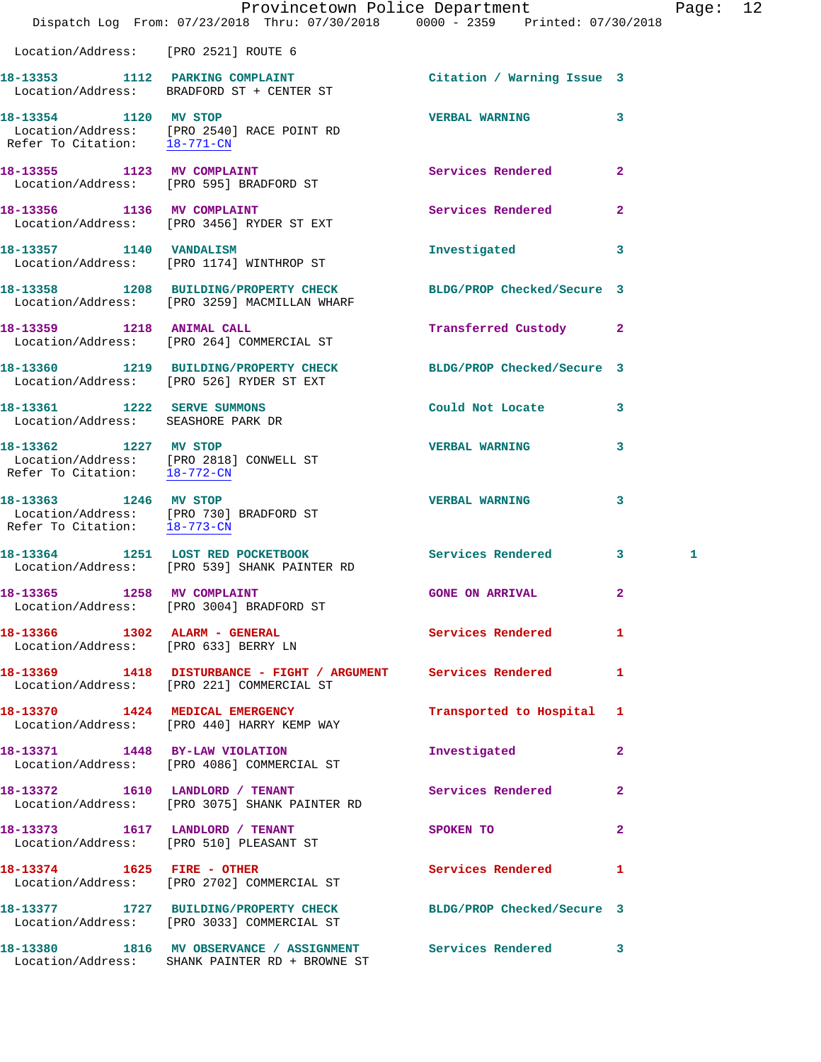|                                                                   | Dispatch Log From: 07/23/2018 Thru: 07/30/2018 0000 - 2359 Printed: 07/30/2018                                                         | Provincetown Police Department                                                                                |                | Page: 12 |  |
|-------------------------------------------------------------------|----------------------------------------------------------------------------------------------------------------------------------------|---------------------------------------------------------------------------------------------------------------|----------------|----------|--|
| Location/Address: [PRO 2521] ROUTE 6                              |                                                                                                                                        |                                                                                                               |                |          |  |
|                                                                   | 18-13353 1112 PARKING COMPLAINT Citation / Warning Issue 3<br>Location/Address: BRADFORD ST + CENTER ST                                |                                                                                                               |                |          |  |
|                                                                   | 18-13354 1120 MV STOP<br>Location/Address: [PRO 2540] RACE POINT RD<br>Refer To Citation: $\frac{18-771-\text{CN}}{18-771-\text{CN}}}$ | VERBAL WARNING 3                                                                                              |                |          |  |
|                                                                   | 18-13355 1123 MV COMPLAINT<br>Location/Address: [PRO 595] BRADFORD ST                                                                  | Services Rendered 2                                                                                           |                |          |  |
|                                                                   | 18-13356 1136 MV COMPLAINT<br>Location/Address: [PRO 3456] RYDER ST EXT                                                                | Services Rendered 2                                                                                           |                |          |  |
|                                                                   | 18-13357 1140 VANDALISM<br>Location/Address: [PRO 1174] WINTHROP ST                                                                    | Investigated 3                                                                                                |                |          |  |
|                                                                   | 18-13358 1208 BUILDING/PROPERTY CHECK BLDG/PROP Checked/Secure 3<br>Location/Address: [PRO 3259] MACMILLAN WHARF                       |                                                                                                               |                |          |  |
|                                                                   | 18-13359 1218 ANIMAL CALL<br>Location/Address: [PRO 264] COMMERCIAL ST                                                                 | Transferred Custody 2                                                                                         |                |          |  |
|                                                                   | 18-13360 1219 BUILDING/PROPERTY CHECK BLDG/PROP Checked/Secure 3<br>Location/Address: [PRO 526] RYDER ST EXT                           |                                                                                                               |                |          |  |
| 18-13361 1222 SERVE SUMMONS<br>Location/Address: SEASHORE PARK DR |                                                                                                                                        | Could Not Locate 3                                                                                            |                |          |  |
| Refer To Citation: $\frac{18-772-CN}{2}$                          | 18-13362 1227 MV STOP<br>Location/Address: [PRO 2818] CONWELL ST                                                                       | <b>VERBAL WARNING</b>                                                                                         | 3              |          |  |
| 18-13363 1246 MV STOP                                             | Location/Address: [PRO 730] BRADFORD ST<br>Refer To Citation: $\frac{18-773-CN}{28}$                                                   | VERBAL WARNING 3                                                                                              |                |          |  |
|                                                                   | 18-13364 1251 LOST RED POCKETBOOK Services Rendered 3<br>Location/Address: [PRO 539] SHANK PAINTER RD                                  |                                                                                                               |                | 1        |  |
|                                                                   | 18-13365 1258 MV COMPLAINT<br>Location/Address: [PRO 3004] BRADFORD ST                                                                 | <b>GONE ON ARRIVAL</b>                                                                                        |                |          |  |
| Location/Address: [PRO 633] BERRY LN                              | 18-13366 1302 ALARM - GENERAL                                                                                                          | Services Rendered                                                                                             | $\mathbf{1}$   |          |  |
|                                                                   | 18-13369 1418 DISTURBANCE - FIGHT / ARGUMENT Services Rendered 1<br>Location/Address: [PRO 221] COMMERCIAL ST                          |                                                                                                               |                |          |  |
|                                                                   | 18-13370 1424 MEDICAL EMERGENCY<br>Location/Address: [PRO 440] HARRY KEMP WAY                                                          | Transported to Hospital 1                                                                                     |                |          |  |
|                                                                   | 18-13371 1448 BY-LAW VIOLATION<br>Location/Address: [PRO 4086] COMMERCIAL ST                                                           | Investigated                                                                                                  | $\mathbf{2}$   |          |  |
|                                                                   | 18-13372 1610 LANDLORD / TENANT<br>Location/Address: [PRO 3075] SHANK PAINTER RD                                                       | Services Rendered                                                                                             | $\mathbf{2}$   |          |  |
|                                                                   | 18-13373 1617 LANDLORD / TENANT<br>Location/Address: [PRO 510] PLEASANT ST                                                             | SPOKEN TO AND TO A STATE OF THE STATE OF THE STATE OF THE STATE OF THE STATE OF THE STATE OF THE STATE OF THE | $\overline{2}$ |          |  |
|                                                                   | 18-13374 1625 FIRE - OTHER<br>Location/Address: [PRO 2702] COMMERCIAL ST                                                               | Services Rendered                                                                                             | $\mathbf{1}$   |          |  |
|                                                                   | 18-13377 1727 BUILDING/PROPERTY CHECK BLDG/PROP Checked/Secure 3<br>Location/Address: [PRO 3033] COMMERCIAL ST                         |                                                                                                               |                |          |  |
|                                                                   | 18-13380 1816 MV OBSERVANCE / ASSIGNMENT Services Rendered 3<br>Location/Address: SHANK PAINTER RD + BROWNE ST                         |                                                                                                               |                |          |  |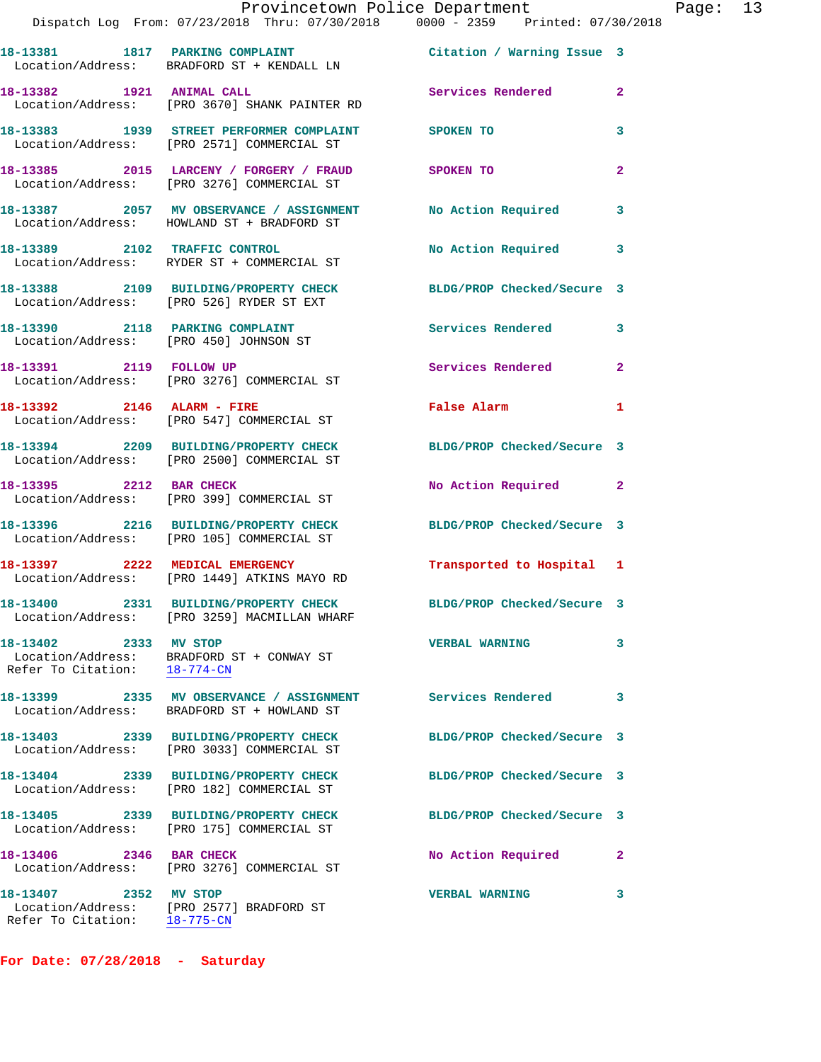|                                                       | Provincetown Police Department<br>Dispatch Log From: 07/23/2018 Thru: 07/30/2018 0000 - 2359 Printed: 07/30/2018 |                            |              |
|-------------------------------------------------------|------------------------------------------------------------------------------------------------------------------|----------------------------|--------------|
|                                                       | 18-13381 1817 PARKING COMPLAINT<br>Location/Address: BRADFORD ST + KENDALL LN                                    | Citation / Warning Issue 3 |              |
| 18-13382 1921 ANIMAL CALL                             | Location/Address: [PRO 3670] SHANK PAINTER RD                                                                    | Services Rendered          | $\mathbf{2}$ |
|                                                       | 18-13383 1939 STREET PERFORMER COMPLAINT<br>Location/Address: [PRO 2571] COMMERCIAL ST                           | <b>SPOKEN TO</b>           | 3            |
|                                                       | 18-13385 2015 LARCENY / FORGERY / FRAUD<br>Location/Address: [PRO 3276] COMMERCIAL ST                            | SPOKEN TO                  | $\mathbf{2}$ |
|                                                       | 18-13387 2057 MV OBSERVANCE / ASSIGNMENT<br>Location/Address: HOWLAND ST + BRADFORD ST                           | No Action Required         | 3            |
|                                                       | 18-13389 2102 TRAFFIC CONTROL<br>Location/Address: RYDER ST + COMMERCIAL ST                                      | No Action Required         | 3            |
|                                                       | 18-13388 2109 BUILDING/PROPERTY CHECK<br>Location/Address: [PRO 526] RYDER ST EXT                                | BLDG/PROP Checked/Secure 3 |              |
|                                                       | 18-13390 2118 PARKING COMPLAINT<br>Location/Address: [PRO 450] JOHNSON ST                                        | <b>Services Rendered</b>   | 3            |
| 18-13391 2119 FOLLOW UP                               | Location/Address: [PRO 3276] COMMERCIAL ST                                                                       | <b>Services Rendered</b>   | $\mathbf{2}$ |
|                                                       | 18-13392 2146 ALARM - FIRE<br>Location/Address: [PRO 547] COMMERCIAL ST                                          | False Alarm                | 1            |
|                                                       | 18-13394 2209 BUILDING/PROPERTY CHECK<br>Location/Address: [PRO 2500] COMMERCIAL ST                              | BLDG/PROP Checked/Secure 3 |              |
|                                                       | 18-13395 2212 BAR CHECK<br>Location/Address: [PRO 399] COMMERCIAL ST                                             | No Action Required         | 2            |
|                                                       | 18-13396 2216 BUILDING/PROPERTY CHECK<br>Location/Address: [PRO 105] COMMERCIAL ST                               | BLDG/PROP Checked/Secure 3 |              |
|                                                       | 18-13397 2222 MEDICAL EMERGENCY<br>Location/Address: [PRO 1449] ATKINS MAYO RD                                   | Transported to Hospital 1  |              |
|                                                       | 18-13400 2331 BUILDING/PROPERTY CHECK BLDG/PROP Checked/Secure 3<br>Location/Address: [PRO 3259] MACMILLAN WHARF |                            |              |
| 18-13402 2333 MV STOP<br>Refer To Citation: 18-774-CN | Location/Address: BRADFORD ST + CONWAY ST                                                                        | <b>VERBAL WARNING</b>      | 3            |
|                                                       | 18-13399 2335 MV OBSERVANCE / ASSIGNMENT Services Rendered<br>Location/Address: BRADFORD ST + HOWLAND ST         |                            | 3            |
|                                                       | 18-13403 2339 BUILDING/PROPERTY CHECK<br>Location/Address: [PRO 3033] COMMERCIAL ST                              | BLDG/PROP Checked/Secure 3 |              |
|                                                       | 18-13404 2339 BUILDING/PROPERTY CHECK<br>Location/Address: [PRO 182] COMMERCIAL ST                               | BLDG/PROP Checked/Secure 3 |              |
|                                                       | 18-13405 2339 BUILDING/PROPERTY CHECK<br>Location/Address: [PRO 175] COMMERCIAL ST                               | BLDG/PROP Checked/Secure 3 |              |
| 18-13406 2346 BAR CHECK                               | Location/Address: [PRO 3276] COMMERCIAL ST                                                                       | No Action Required         | $\mathbf{2}$ |
| 18-13407 2352 MV STOP                                 | Location/Address: [PRO 2577] BRADFORD ST                                                                         | <b>VERBAL WARNING</b>      | 3            |

**For Date: 07/28/2018 - Saturday**

Refer To Citation: 18-775-CN

Page: 13<br>18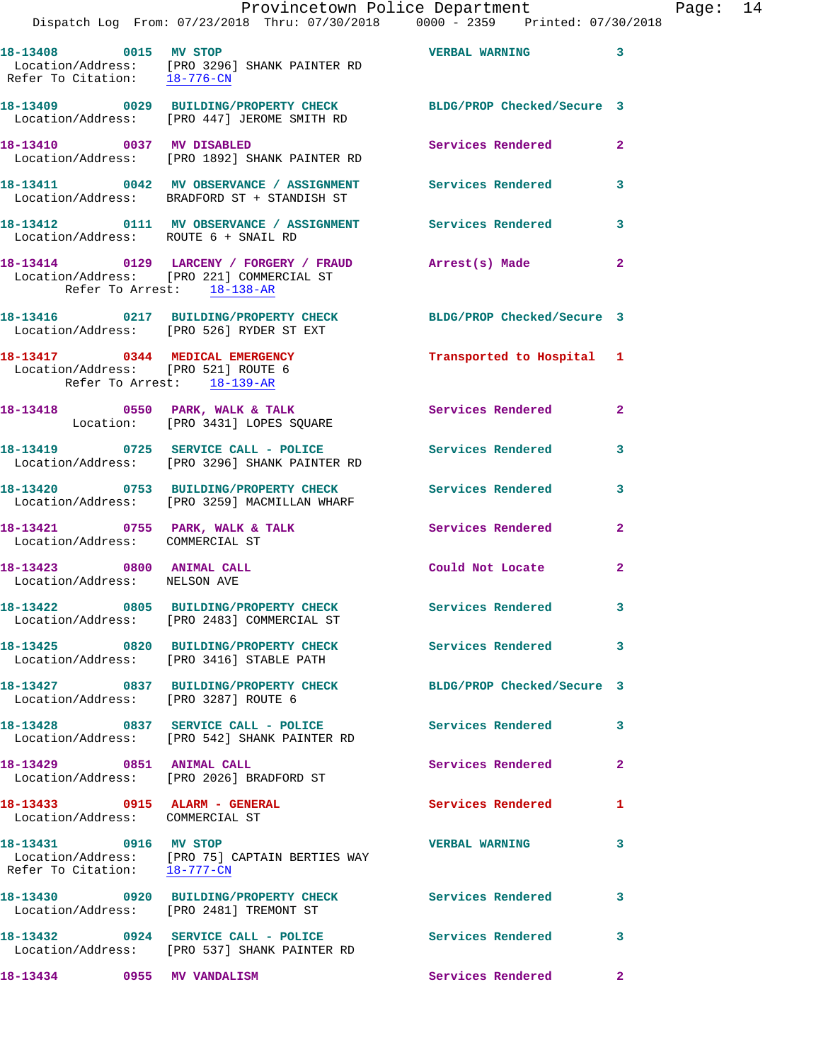Dispatch Log From: 07/23/2018 Thru: 07/30/2018 0000 - 2359 Printed: 07/30/2018

| 18-13408 0015 MV STOP                                              | Location/Address: [PRO 3296] SHANK PAINTER RD<br>Refer To Citation: <u>18-776-CN</u>                            | <b>VERBAL WARNING</b>      | $\mathbf{3}$            |
|--------------------------------------------------------------------|-----------------------------------------------------------------------------------------------------------------|----------------------------|-------------------------|
|                                                                    | 18-13409 0029 BUILDING/PROPERTY CHECK BLDG/PROP Checked/Secure 3<br>Location/Address: [PRO 447] JEROME SMITH RD |                            |                         |
|                                                                    | 18-13410 0037 MV DISABLED<br>Location/Address: [PRO 1892] SHANK PAINTER RD                                      | Services Rendered          | $\mathbf{2}$            |
|                                                                    | 18-13411 0042 MV OBSERVANCE / ASSIGNMENT Services Rendered 3<br>Location/Address: BRADFORD ST + STANDISH ST     |                            |                         |
| Location/Address: ROUTE 6 + SNAIL RD                               | 18-13412 0111 MV OBSERVANCE / ASSIGNMENT Services Rendered 3                                                    |                            |                         |
| Refer To Arrest: 18-138-AR                                         | 18-13414 0129 LARCENY / FORGERY / FRAUD Arrest(s) Made<br>Location/Address: [PRO 221] COMMERCIAL ST             |                            | $\overline{\mathbf{2}}$ |
|                                                                    | 18-13416 0217 BUILDING/PROPERTY CHECK BLDG/PROP Checked/Secure 3<br>Location/Address: [PRO 526] RYDER ST EXT    |                            |                         |
| Location/Address: [PRO 521] ROUTE 6<br>Refer To Arrest: 18-139-AR  | 18-13417 0344 MEDICAL EMERGENCY                                                                                 | Transported to Hospital 1  |                         |
|                                                                    | 18-13418 0550 PARK, WALK & TALK<br>Location: [PRO 3431] LOPES SQUARE                                            | Services Rendered 2        |                         |
|                                                                    | 18-13419 0725 SERVICE CALL - POLICE<br>Location/Address: [PRO 3296] SHANK PAINTER RD                            | <b>Services Rendered</b>   | $\overline{\mathbf{3}}$ |
|                                                                    | 18-13420 0753 BUILDING/PROPERTY CHECK<br>Location/Address: [PRO 3259] MACMILLAN WHARF                           | <b>Services Rendered</b>   | $\mathbf{3}$            |
| 18-13421 0755 PARK, WALK & TALK<br>Location/Address: COMMERCIAL ST |                                                                                                                 | Services Rendered          | $\overline{2}$          |
| 18-13423 0800 ANIMAL CALL<br>Location/Address: NELSON AVE          |                                                                                                                 | Could Not Locate           | $\mathbf{2}$            |
|                                                                    | 18-13422 0805 BUILDING/PROPERTY CHECK Services Rendered 3<br>Location/Address: [PRO 2483] COMMERCIAL ST         |                            |                         |
|                                                                    | 18-13425 0820 BUILDING/PROPERTY CHECK<br>Location/Address: [PRO 3416] STABLE PATH                               | Services Rendered 3        |                         |
| Location/Address: [PRO 3287] ROUTE 6                               | 18-13427 0837 BUILDING/PROPERTY CHECK                                                                           | BLDG/PROP Checked/Secure 3 |                         |
|                                                                    | 18-13428 0837 SERVICE CALL - POLICE<br>Location/Address: [PRO 542] SHANK PAINTER RD                             | <b>Services Rendered</b> 3 |                         |
| 18-13429 0851 ANIMAL CALL                                          | Location/Address: [PRO 2026] BRADFORD ST                                                                        | Services Rendered          | $\mathbf{2}$            |
| 18-13433 0915 ALARM - GENERAL<br>Location/Address: COMMERCIAL ST   |                                                                                                                 | Services Rendered          | 1                       |
| 18-13431 0916 MV STOP<br>Refer To Citation: 18-777-CN              | Location/Address: [PRO 75] CAPTAIN BERTIES WAY                                                                  | <b>VERBAL WARNING</b>      | 3                       |
|                                                                    | 18-13430 0920 BUILDING/PROPERTY CHECK<br>Location/Address: [PRO 2481] TREMONT ST                                | <b>Services Rendered</b>   | 3                       |
|                                                                    | 18-13432 0924 SERVICE CALL - POLICE Services Rendered<br>Location/Address: [PRO 537] SHANK PAINTER RD           | $\sim$ 3                   |                         |
| 18-13434 0955 MV VANDALISM                                         |                                                                                                                 | Services Rendered          | $\mathbf{2}$            |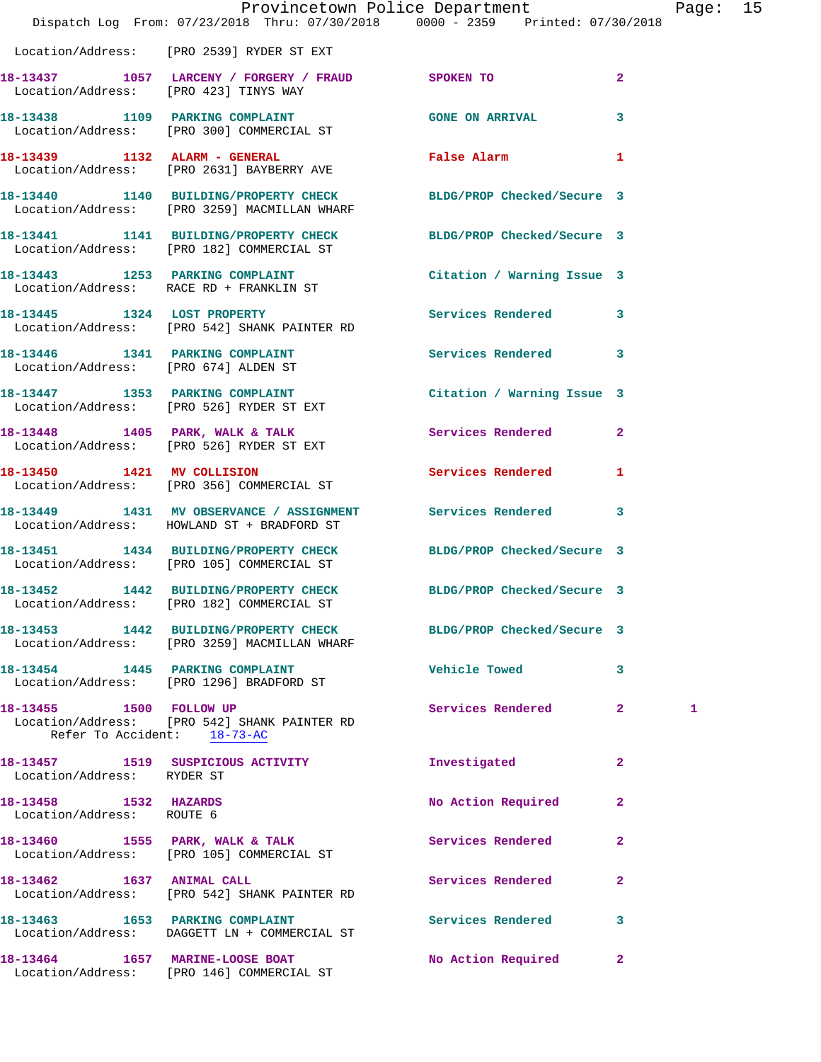|                                                    | Dispatch Log From: 07/23/2018 Thru: 07/30/2018 0000 - 2359 Printed: 07/30/2018                                   | Provincetown Police Department |              | Page: 15 |  |
|----------------------------------------------------|------------------------------------------------------------------------------------------------------------------|--------------------------------|--------------|----------|--|
|                                                    | Location/Address: [PRO 2539] RYDER ST EXT                                                                        |                                |              |          |  |
|                                                    | 18-13437 1057 LARCENY / FORGERY / FRAUD SPOKEN TO<br>Location/Address: [PRO 423] TINYS WAY                       |                                | $\mathbf{2}$ |          |  |
|                                                    | 18-13438 1109 PARKING COMPLAINT COME ON ARRIVAL 3<br>Location/Address: [PRO 300] COMMERCIAL ST                   |                                |              |          |  |
|                                                    | 18-13439 1132 ALARM - GENERAL<br>Location/Address: [PRO 2631] BAYBERRY AVE                                       | False Alarm 1                  |              |          |  |
|                                                    | 18-13440 1140 BUILDING/PROPERTY CHECK BLDG/PROP Checked/Secure 3<br>Location/Address: [PRO 3259] MACMILLAN WHARF |                                |              |          |  |
|                                                    | 18-13441 1141 BUILDING/PROPERTY CHECK BLDG/PROP Checked/Secure 3<br>Location/Address: [PRO 182] COMMERCIAL ST    |                                |              |          |  |
|                                                    | 18-13443 1253 PARKING COMPLAINT Contract Citation / Warning Issue 3<br>Location/Address: RACE RD + FRANKLIN ST   |                                |              |          |  |
|                                                    | 18-13445 1324 LOST PROPERTY<br>Location/Address: [PRO 542] SHANK PAINTER RD                                      | Services Rendered 3            |              |          |  |
|                                                    | 18-13446 1341 PARKING COMPLAINT Services Rendered 3<br>Location/Address: [PRO 674] ALDEN ST                      |                                |              |          |  |
|                                                    | 18-13447 1353 PARKING COMPLAINT<br>Location/Address: [PRO 526] RYDER ST EXT                                      | Citation / Warning Issue 3     |              |          |  |
|                                                    | 18-13448 1405 PARK, WALK & TALK 1997 Services Rendered 2<br>Location/Address: [PRO 526] RYDER ST EXT             |                                |              |          |  |
|                                                    | 18-13450 1421 MV COLLISION<br>Location/Address: [PRO 356] COMMERCIAL ST                                          | Services Rendered 1            |              |          |  |
|                                                    | 18-13449 1431 MV OBSERVANCE / ASSIGNMENT Services Rendered 3<br>Location/Address: HOWLAND ST + BRADFORD ST       |                                |              |          |  |
|                                                    | 18-13451 1434 BUILDING/PROPERTY CHECK BLDG/PROP Checked/Secure 3<br>Location/Address: [PRO 105] COMMERCIAL ST    |                                |              |          |  |
|                                                    | 18-13452 1442 BUILDING/PROPERTY CHECK BLDG/PROP Checked/Secure 3<br>Location/Address: [PRO 182] COMMERCIAL ST    |                                |              |          |  |
|                                                    | 18-13453 1442 BUILDING/PROPERTY CHECK BLDG/PROP Checked/Secure 3<br>Location/Address: [PRO 3259] MACMILLAN WHARF |                                |              |          |  |
|                                                    | 18-13454 1445 PARKING COMPLAINT<br>Location/Address: [PRO 1296] BRADFORD ST                                      | <b>Vehicle Towed</b>           | 3            |          |  |
|                                                    | 18-13455 1500 FOLLOW UP<br>Location/Address: [PRO 542] SHANK PAINTER RD<br>Refer To Accident: 18-73-AC           | Services Rendered 2            |              | 1        |  |
| Location/Address: RYDER ST                         | 18-13457 1519 SUSPICIOUS ACTIVITY                                                                                | Investigated                   | $\mathbf{2}$ |          |  |
| 18-13458 1532 HAZARDS<br>Location/Address: ROUTE 6 |                                                                                                                  | No Action Required             | $\mathbf{2}$ |          |  |
|                                                    | 18-13460 1555 PARK, WALK & TALK<br>Location/Address: [PRO 105] COMMERCIAL ST                                     | Services Rendered              | $\mathbf{2}$ |          |  |
| 18-13462 1637 ANIMAL CALL                          | Location/Address: [PRO 542] SHANK PAINTER RD                                                                     | <b>Services Rendered</b>       | $\mathbf{2}$ |          |  |
|                                                    | 18-13463 1653 PARKING COMPLAINT<br>Location/Address: DAGGETT LN + COMMERCIAL ST                                  | <b>Services Rendered</b>       | 3            |          |  |
| 18-13464 1657 MARINE-LOOSE BOAT                    |                                                                                                                  | No Action Required             | $\mathbf{2}$ |          |  |

Location/Address: [PRO 146] COMMERCIAL ST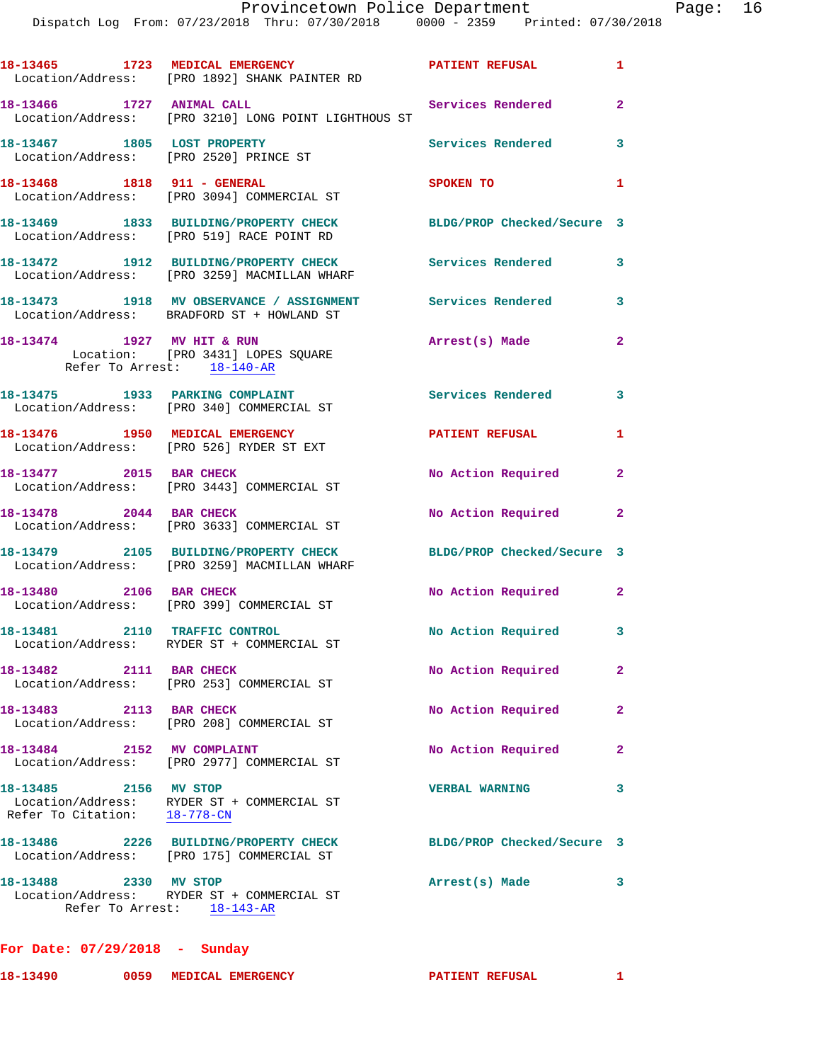|                               | 18-13465 1723 MEDICAL EMERGENCY<br>Location/Address: [PRO 1892] SHANK PAINTER RD                           | PATIENT REFUSAL            | $\mathbf{1}$   |
|-------------------------------|------------------------------------------------------------------------------------------------------------|----------------------------|----------------|
| 18-13466 1727 ANIMAL CALL     | Location/Address: [PRO 3210] LONG POINT LIGHTHOUS ST                                                       | Services Rendered 2        |                |
|                               | 18-13467 1805 LOST PROPERTY<br>Location/Address: [PRO 2520] PRINCE ST                                      | Services Rendered          | $\mathbf{3}$   |
| 18-13468 1818 911 - GENERAL   | Location/Address: [PRO 3094] COMMERCIAL ST                                                                 | SPOKEN TO                  | 1              |
|                               | 18-13469 1833 BUILDING/PROPERTY CHECK<br>Location/Address: [PRO 519] RACE POINT RD                         | BLDG/PROP Checked/Secure 3 |                |
|                               | 18-13472 1912 BUILDING/PROPERTY CHECK<br>Location/Address: [PRO 3259] MACMILLAN WHARF                      | <b>Services Rendered</b>   | 3              |
|                               | 18-13473 1918 MV OBSERVANCE / ASSIGNMENT Services Rendered 3<br>Location/Address: BRADFORD ST + HOWLAND ST |                            |                |
|                               | 18-13474 1927 MV HIT & RUN<br>Location: [PRO 3431] LOPES SQUARE<br>Refer To Arrest: 18-140-AR              | Arrest(s) Made             | $\overline{2}$ |
|                               | 18-13475 1933 PARKING COMPLAINT<br>Location/Address: [PRO 340] COMMERCIAL ST                               | Services Rendered 3        |                |
|                               | 18-13476 1950 MEDICAL EMERGENCY<br>Location/Address: [PRO 526] RYDER ST EXT                                | <b>PATIENT REFUSAL</b>     | 1              |
| 18-13477 2015 BAR CHECK       | Location/Address: [PRO 3443] COMMERCIAL ST                                                                 | No Action Required 2       |                |
| 18-13478 2044 BAR CHECK       | Location/Address: [PRO 3633] COMMERCIAL ST                                                                 | No Action Required         | $\mathbf{2}$   |
|                               | 18-13479 2105 BUILDING/PROPERTY CHECK<br>Location/Address: [PRO 3259] MACMILLAN WHARF                      | BLDG/PROP Checked/Secure 3 |                |
| 18-13480 2106 BAR CHECK       | Location/Address: [PRO 399] COMMERCIAL ST                                                                  | No Action Required 2       |                |
| 18-13481 2110 TRAFFIC CONTROL | Location/Address: RYDER ST + COMMERCIAL ST                                                                 | No Action Required 3       |                |
| 18-13482 2111 BAR CHECK       | Location/Address: [PRO 253] COMMERCIAL ST                                                                  | No Action Required         | $\mathbf{2}$   |
| 18-13483 2113 BAR CHECK       | Location/Address: [PRO 208] COMMERCIAL ST                                                                  | No Action Required         | $\mathbf{2}$   |
| 18-13484 2152 MV COMPLAINT    | Location/Address: [PRO 2977] COMMERCIAL ST                                                                 | No Action Required         | $\mathbf{2}$   |
| 18-13485 2156 MV STOP         | Location/Address: RYDER ST + COMMERCIAL ST<br>Refer To Citation: $18-778-CN$                               | <b>VERBAL WARNING</b>      | 3              |
|                               | 18-13486 2226 BUILDING/PROPERTY CHECK<br>Location/Address: [PRO 175] COMMERCIAL ST                         | BLDG/PROP Checked/Secure 3 |                |
| 18-13488 2330 MV STOP         | Location/Address: RYDER ST + COMMERCIAL ST<br>Refer To Arrest: 18-143-AR                                   | Arrest(s) Made             | 3              |

**For Date: 07/29/2018 - Sunday**

| 18-13490<br>0059 | MEDICAL EMERGENCY | PATIENT REFUSAL |  |
|------------------|-------------------|-----------------|--|
|------------------|-------------------|-----------------|--|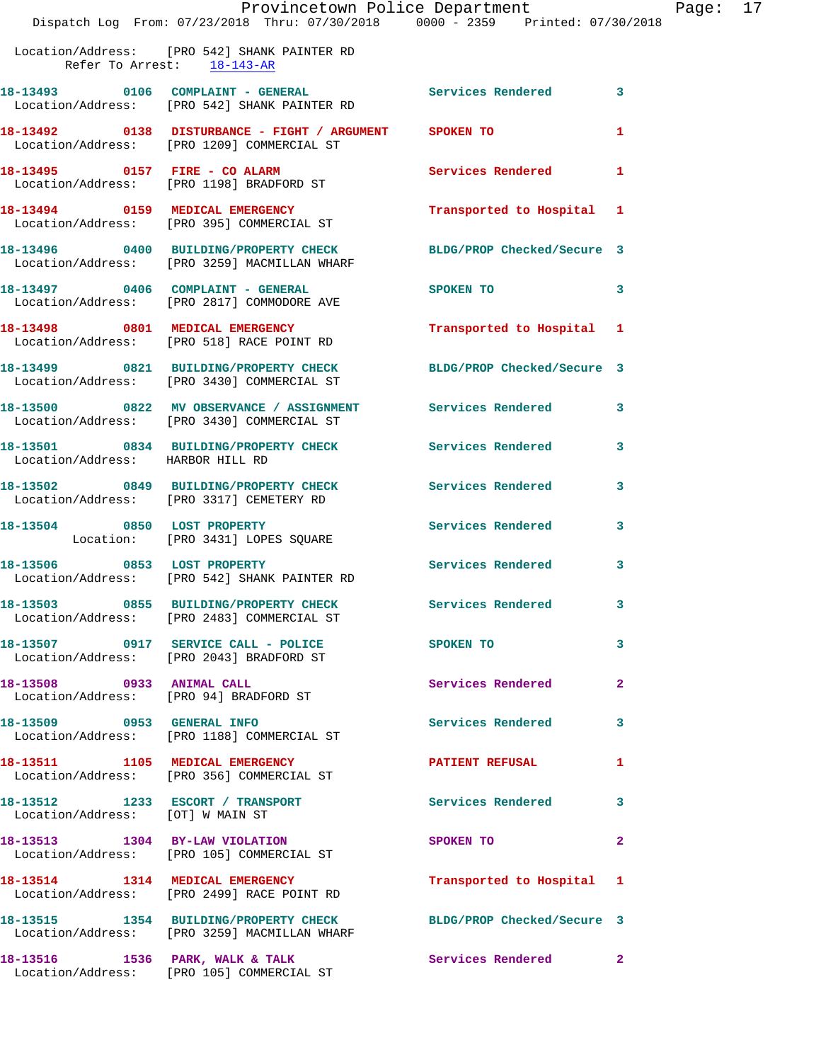|                                  | Dispatch Log From: 07/23/2018 Thru: 07/30/2018 0000 - 2359 Printed: 07/30/2018                                   | Provincetown Police Department Page: 17                                                                                                                                                                                        |                            |  |
|----------------------------------|------------------------------------------------------------------------------------------------------------------|--------------------------------------------------------------------------------------------------------------------------------------------------------------------------------------------------------------------------------|----------------------------|--|
| Refer To Arrest: 18-143-AR       | Location/Address: [PRO 542] SHANK PAINTER RD                                                                     |                                                                                                                                                                                                                                |                            |  |
|                                  | 18-13493 0106 COMPLAINT - GENERAL Services Rendered 3<br>Location/Address: [PRO 542] SHANK PAINTER RD            |                                                                                                                                                                                                                                |                            |  |
|                                  | 18-13492 0138 DISTURBANCE - FIGHT / ARGUMENT SPOKEN TO<br>Location/Address: [PRO 1209] COMMERCIAL ST             |                                                                                                                                                                                                                                | 1                          |  |
|                                  | 18-13495 0157 FIRE - CO ALARM Services Rendered 1<br>Location/Address: [PRO 1198] BRADFORD ST                    |                                                                                                                                                                                                                                |                            |  |
|                                  | 18-13494 0159 MEDICAL EMERGENCY<br>Location/Address: [PRO 395] COMMERCIAL ST                                     | Transported to Hospital 1                                                                                                                                                                                                      |                            |  |
|                                  | 18-13496 0400 BUILDING/PROPERTY CHECK BLDG/PROP Checked/Secure 3<br>Location/Address: [PRO 3259] MACMILLAN WHARF |                                                                                                                                                                                                                                |                            |  |
|                                  | 18-13497 0406 COMPLAINT - GENERAL<br>Location/Address: [PRO 2817] COMMODORE AVE                                  | SPOKEN TO 3                                                                                                                                                                                                                    |                            |  |
|                                  | 18-13498 0801 MEDICAL EMERGENCY<br>Location/Address: [PRO 518] RACE POINT RD                                     | Transported to Hospital 1                                                                                                                                                                                                      |                            |  |
|                                  | 18-13499 0821 BUILDING/PROPERTY CHECK BLDG/PROP Checked/Secure 3<br>Location/Address: [PRO 3430] COMMERCIAL ST   |                                                                                                                                                                                                                                |                            |  |
|                                  | 18-13500 0822 MV OBSERVANCE / ASSIGNMENT Services Rendered 3<br>Location/Address: [PRO 3430] COMMERCIAL ST       |                                                                                                                                                                                                                                |                            |  |
| Location/Address: HARBOR HILL RD | 18-13501 0834 BUILDING/PROPERTY CHECK Services Rendered 3                                                        |                                                                                                                                                                                                                                |                            |  |
|                                  | 18-13502 0849 BUILDING/PROPERTY CHECK Services Rendered<br>Location/Address: [PRO 3317] CEMETERY RD              |                                                                                                                                                                                                                                | $\mathbf{3}$               |  |
|                                  | 18-13504 0850 LOST PROPERTY<br>Location: [PRO 3431] LOPES SQUARE                                                 | Services Rendered                                                                                                                                                                                                              | $\mathbf{3}$               |  |
|                                  | 18-13506 0853 LOST PROPERTY<br>Location/Address: [PRO 542] SHANK PAINTER RD                                      | Services Rendered 3                                                                                                                                                                                                            |                            |  |
|                                  | 18-13503 0855 BUILDING/PROPERTY CHECK Services Rendered 3<br>Location/Address: [PRO 2483] COMMERCIAL ST          |                                                                                                                                                                                                                                |                            |  |
|                                  | 18-13507 0917 SERVICE CALL - POLICE SPOKEN TO<br>Location/Address: [PRO 2043] BRADFORD ST                        |                                                                                                                                                                                                                                | $\overline{\phantom{a}}$ 3 |  |
|                                  | 18-13508 0933 ANIMAL CALL<br>Location/Address: [PRO 94] BRADFORD ST                                              | Services Rendered 2                                                                                                                                                                                                            |                            |  |
|                                  | 18-13509 0953 GENERAL INFO<br>Location/Address: [PRO 1188] COMMERCIAL ST                                         | Services Rendered 3                                                                                                                                                                                                            |                            |  |
|                                  | 18-13511 1105 MEDICAL EMERGENCY 1 PATIENT REFUSAL 1<br>Location/Address: [PRO 356] COMMERCIAL ST                 |                                                                                                                                                                                                                                |                            |  |
| Location/Address: [OT] W MAIN ST | 18-13512 1233 ESCORT / TRANSPORT                                                                                 | Services Rendered 3                                                                                                                                                                                                            |                            |  |
|                                  | 18-13513 1304 BY-LAW VIOLATION<br>Location/Address: [PRO 105] COMMERCIAL ST                                      | SPOKEN TO THE SPOKEN OF THE SPOKEN OF THE SPOKEN OF THE SPOKEN OF THE SPOKEN OF THE SPOKEN OF THE SPOKEN OF THE SPOKEN OF THE SPOKEN OF THE SPOKEN OF THE SPOKEN OF THE SPOKEN OF THE SPOKEN OF THE SPOKEN OF THE SPOKEN OF TH | $\mathbf{2}$               |  |
|                                  | 18-13514 1314 MEDICAL EMERGENCY<br>Location/Address: [PRO 2499] RACE POINT RD                                    | Transported to Hospital 1                                                                                                                                                                                                      |                            |  |
|                                  | 18-13515 1354 BUILDING/PROPERTY CHECK BLDG/PROP Checked/Secure 3<br>Location/Address: [PRO 3259] MACMILLAN WHARF |                                                                                                                                                                                                                                |                            |  |
|                                  | 18-13516 1536 PARK, WALK & TALK 1998 Services Rendered 2                                                         |                                                                                                                                                                                                                                |                            |  |

Location/Address: [PRO 105] COMMERCIAL ST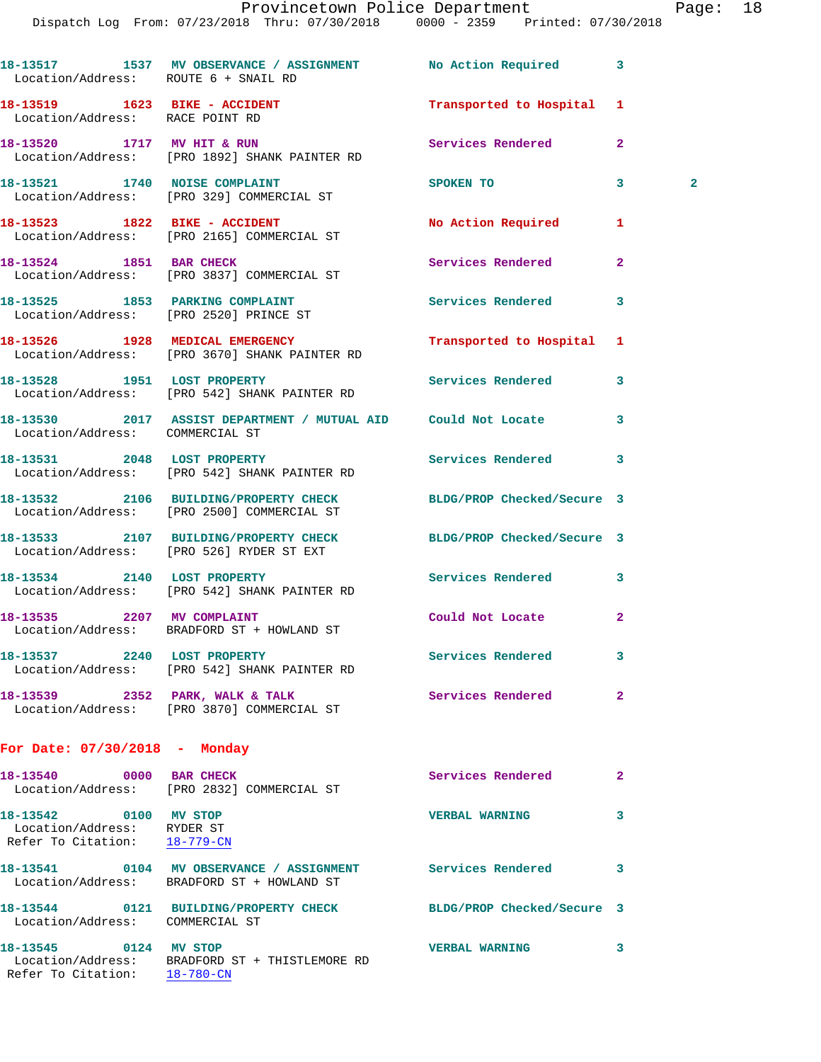|                                                                                     | Dispatch Log From: 07/23/2018 Thru: 07/30/2018 0000 - 2359 Printed: 07/30/2018                                 |                            |                   |
|-------------------------------------------------------------------------------------|----------------------------------------------------------------------------------------------------------------|----------------------------|-------------------|
| Location/Address: ROUTE 6 + SNAIL RD                                                | 18-13517 1537 MV OBSERVANCE / ASSIGNMENT No Action Required                                                    |                            | 3                 |
| 18-13519    1623    BIKE - ACCIDENT<br>Location/Address: RACE POINT RD              |                                                                                                                | Transported to Hospital    | 1                 |
|                                                                                     | 18-13520 1717 MV HIT & RUN<br>Location/Address: [PRO 1892] SHANK PAINTER RD                                    | Services Rendered          | $\overline{a}$    |
|                                                                                     | 18-13521 1740 NOISE COMPLAINT<br>Location/Address: [PRO 329] COMMERCIAL ST                                     | SPOKEN TO                  | 3<br>$\mathbf{2}$ |
|                                                                                     | 18-13523 1822 BIKE - ACCIDENT<br>Location/Address: [PRO 2165] COMMERCIAL ST                                    | No Action Required         | 1                 |
|                                                                                     | 18-13524 1851 BAR CHECK<br>Location/Address: [PRO 3837] COMMERCIAL ST                                          | Services Rendered          | $\mathbf{2}$      |
|                                                                                     | 18-13525 1853 PARKING COMPLAINT<br>Location/Address: [PRO 2520] PRINCE ST                                      | Services Rendered          | 3                 |
|                                                                                     | 18-13526 1928 MEDICAL EMERGENCY<br>Location/Address: [PRO 3670] SHANK PAINTER RD                               | Transported to Hospital 1  |                   |
|                                                                                     | 18-13528 1951 LOST PROPERTY<br>Location/Address: [PRO 542] SHANK PAINTER RD                                    | Services Rendered          | 3                 |
| Location/Address: COMMERCIAL ST                                                     | 18-13530 2017 ASSIST DEPARTMENT / MUTUAL AID Could Not Locate                                                  |                            | 3                 |
|                                                                                     | 18-13531 2048 LOST PROPERTY<br>Location/Address: [PRO 542] SHANK PAINTER RD                                    | Services Rendered          | 3                 |
|                                                                                     | 18-13532 2106 BUILDING/PROPERTY CHECK BLDG/PROP Checked/Secure 3<br>Location/Address: [PRO 2500] COMMERCIAL ST |                            |                   |
|                                                                                     | 18-13533 2107 BUILDING/PROPERTY CHECK<br>Location/Address: [PRO 526] RYDER ST EXT                              | BLDG/PROP Checked/Secure 3 |                   |
|                                                                                     | 18-13534 2140 LOST PROPERTY<br>Location/Address: [PRO 542] SHANK PAINTER RD                                    | Services Rendered 3        |                   |
| 18-13535 2207 MV COMPLAINT                                                          | Location/Address: BRADFORD ST + HOWLAND ST                                                                     | Could Not Locate           |                   |
| 18-13537 2240 LOST PROPERTY                                                         | Location/Address: [PRO 542] SHANK PAINTER RD                                                                   | Services Rendered          | 3                 |
| 18-13539 2352 PARK, WALK & TALK                                                     | Location/Address: [PRO 3870] COMMERCIAL ST                                                                     | Services Rendered          | $\mathbf{2}$      |
| For Date: $07/30/2018$ - Monday                                                     |                                                                                                                |                            |                   |
| 18-13540 0000 BAR CHECK                                                             | Location/Address: [PRO 2832] COMMERCIAL ST                                                                     | Services Rendered          | $\mathbf{2}$      |
| 18-13542 0100 MV STOP<br>Location/Address: RYDER ST<br>Refer To Citation: 18-779-CN |                                                                                                                | <b>VERBAL WARNING</b>      | 3                 |
|                                                                                     | 18-13541 0104 MV OBSERVANCE / ASSIGNMENT<br>Location/Address: BRADFORD ST + HOWLAND ST                         | Services Rendered          | 3                 |
| Location/Address: COMMERCIAL ST                                                     | 18-13544 0121 BUILDING/PROPERTY CHECK BLDG/PROP Checked/Secure 3                                               |                            |                   |

**18-13545 0124 MV STOP VERBAL WARNING 3**  Location/Address: BRADFORD ST + THISTLEMORE RD Refer To Citation: 18-780-CN